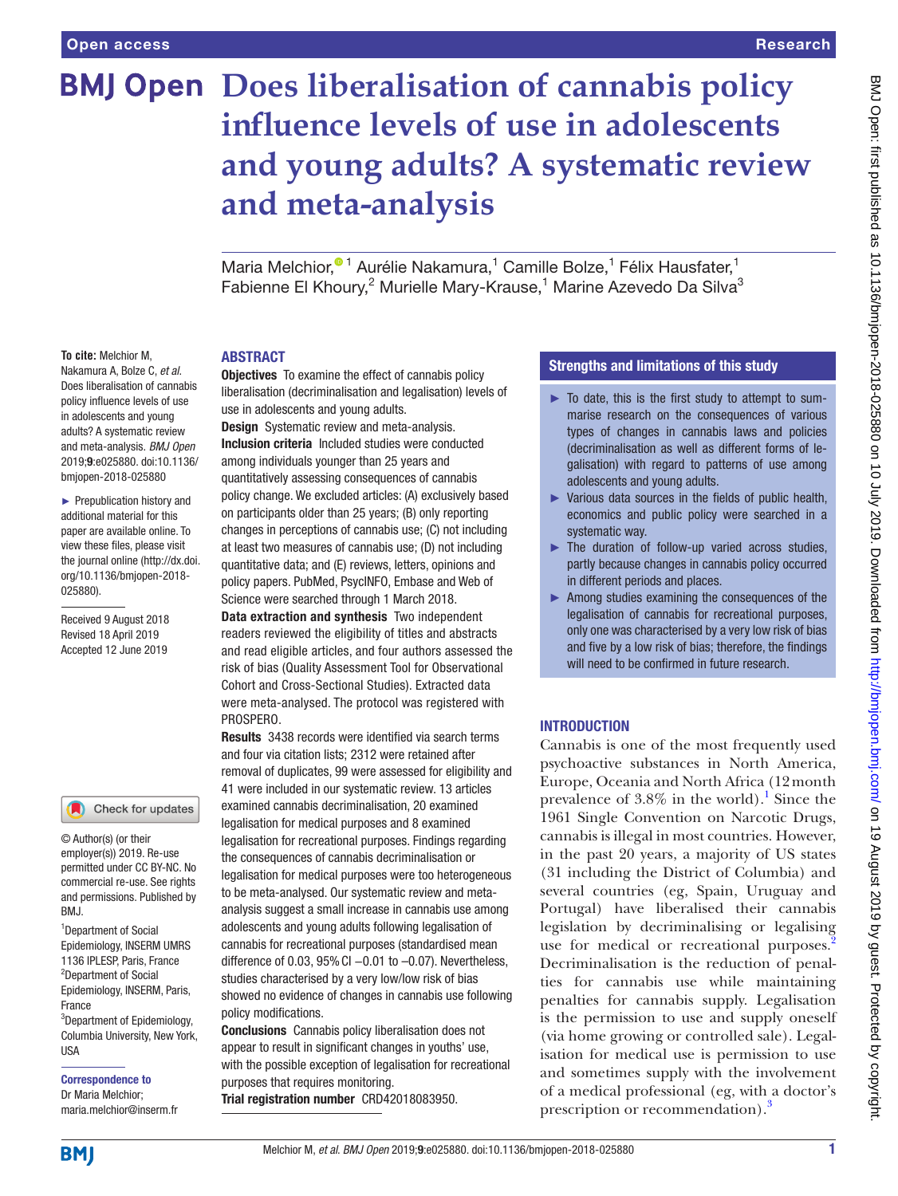# **BMJ Open Does liberalisation of cannabis policy influence levels of use in adolescents and young adults? A systematic review and meta-analysis**

MariaMelchior,<sup>® 1</sup> Aurélie Nakamura,<sup>1</sup> Camille Bolze,<sup>1</sup> Félix Hausfater,<sup>1</sup> Fabienne El Khoury,<sup>2</sup> Murielle Mary-Krause,<sup>1</sup> Marine Azevedo Da Silva<sup>3</sup>

#### **ABSTRACT**

**To cite:** Melchior M, Nakamura A, Bolze C, *et al*. Does liberalisation of cannabis policy influence levels of use in adolescents and young adults? A systematic review and meta-analysis. *BMJ Open* 2019;9:e025880. doi:10.1136/ bmjopen-2018-025880

**►** Prepublication history and additional material for this paper are available online. To view these files, please visit the journal online (http://dx.doi. org/10.1136/bmjopen-2018- 025880).

Received 9 August 2018 Revised 18 April 2019 Accepted 12 June 2019

#### Check for updates

© Author(s) (or their employer(s)) 2019. Re-use permitted under CC BY-NC. No commercial re-use. See rights and permissions. Published by BMJ.

1 Department of Social Epidemiology, INSERM UMRS 1136 IPLESP, Paris, France 2 Department of Social Epidemiology, INSERM, Paris, France 3 Department of Epidemiology, Columbia University, New York, **IISA** 

Correspondence to Dr Maria Melchior; maria.melchior@inserm.fr **Objectives** To examine the effect of cannabis policy liberalisation (decriminalisation and legalisation) levels of use in adolescents and young adults.

**Design** Systematic review and meta-analysis. Inclusion criteria Included studies were conducted among individuals younger than 25 years and quantitatively assessing consequences of cannabis policy change. We excluded articles: (A) exclusively based on participants older than 25 years; (B) only reporting changes in perceptions of cannabis use; (C) not including at least two measures of cannabis use; (D) not including quantitative data; and (E) reviews, letters, opinions and policy papers. PubMed, PsycINFO, Embase and Web of Science were searched through 1 March 2018.

Data extraction and synthesis Two independent readers reviewed the eligibility of titles and abstracts and read eligible articles, and four authors assessed the risk of bias (Quality Assessment Tool for Observational Cohort and Cross-Sectional Studies). Extracted data were meta-analysed. The protocol was registered with PROSPERO.

Results 3438 records were identified via search terms and four via citation lists; 2312 were retained after removal of duplicates, 99 were assessed for eligibility and 41 were included in our systematic review. 13 articles examined cannabis decriminalisation, 20 examined legalisation for medical purposes and 8 examined legalisation for recreational purposes. Findings regarding the consequences of cannabis decriminalisation or legalisation for medical purposes were too heterogeneous to be meta-analysed. Our systematic review and metaanalysis suggest a small increase in cannabis use among adolescents and young adults following legalisation of cannabis for recreational purposes (standardised mean difference of 0.03,  $95\%$  CI  $-0.01$  to  $-0.07$ ). Nevertheless, studies characterised by a very low/low risk of bias showed no evidence of changes in cannabis use following policy modifications.

Conclusions Cannabis policy liberalisation does not appear to result in significant changes in youths' use, with the possible exception of legalisation for recreational purposes that requires monitoring. Trial registration number CRD42018083950.

## Strengths and limitations of this study

- **►** To date, this is the first study to attempt to summarise research on the consequences of various types of changes in cannabis laws and policies (decriminalisation as well as different forms of legalisation) with regard to patterns of use among adolescents and young adults.
- **►** Various data sources in the fields of public health, economics and public policy were searched in a systematic way.
- **►** The duration of follow-up varied across studies, partly because changes in cannabis policy occurred in different periods and places.
- **►** Among studies examining the consequences of the legalisation of cannabis for recreational purposes, only one was characterised by a very low risk of bias and five by a low risk of bias; therefore, the findings will need to be confirmed in future research.

#### **INTRODUCTION**

Cannabis is one of the most frequently used psychoactive substances in North America, Europe, Oceania and North Africa (12month prevalence of  $3.8\%$  in the world).<sup>1</sup> Since the 1961 Single Convention on Narcotic Drugs, cannabis is illegal in most countries. However, in the past 20 years, a majority of US states (31 including the District of Columbia) and several countries (eg, Spain, Uruguay and Portugal) have liberalised their cannabis legislation by decriminalising or legalising use for medical or recreational purposes.<sup>2</sup> Decriminalisation is the reduction of penalties for cannabis use while maintaining penalties for cannabis supply. Legalisation is the permission to use and supply oneself (via home growing or controlled sale). Legalisation for medical use is permission to use and sometimes supply with the involvement of a medical professional (eg, with a doctor's prescription or recommendation).<sup>[3](#page-11-2)</sup>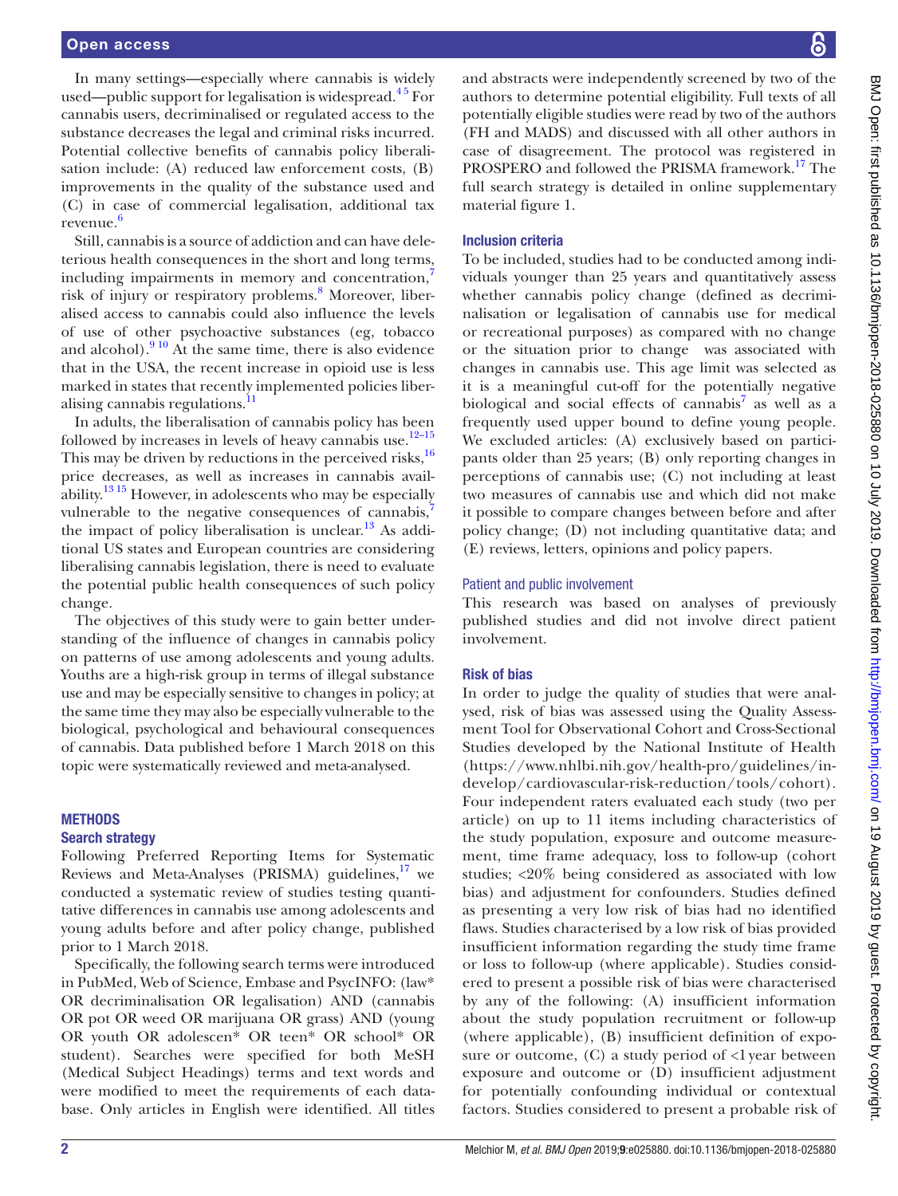In many settings—especially where cannabis is widely used—public support for legalisation is widespread.<sup>45</sup> For cannabis users, decriminalised or regulated access to the substance decreases the legal and criminal risks incurred. Potential collective benefits of cannabis policy liberalisation include: (A) reduced law enforcement costs, (B) improvements in the quality of the substance used and (C) in case of commercial legalisation, additional tax revenue. [6](#page-11-4)

Still, cannabis is a source of addiction and can have deleterious health consequences in the short and long terms, including impairments in memory and concentration, risk of injury or respiratory problems.<sup>[8](#page-11-6)</sup> Moreover, liberalised access to cannabis could also influence the levels of use of other psychoactive substances (eg, tobacco and alcohol). $9^{10}$  At the same time, there is also evidence that in the USA, the recent increase in opioid use is less marked in states that recently implemented policies liberalising cannabis regulations.<sup>11</sup>

In adults, the liberalisation of cannabis policy has been followed by increases in levels of heavy cannabis use. $12-15$ This may be driven by reductions in the perceived risks, $^{16}$  $^{16}$  $^{16}$ price decreases, as well as increases in cannabis availability. $1315$  However, in adolescents who may be especially vulnerable to the negative consequences of cannabis, $\overline{3}$ the impact of policy liberalisation is unclear.<sup>[13](#page-11-11)</sup> As additional US states and European countries are considering liberalising cannabis legislation, there is need to evaluate the potential public health consequences of such policy change.

The objectives of this study were to gain better understanding of the influence of changes in cannabis policy on patterns of use among adolescents and young adults. Youths are a high-risk group in terms of illegal substance use and may be especially sensitive to changes in policy; at the same time they may also be especially vulnerable to the biological, psychological and behavioural consequences of cannabis. Data published before 1 March 2018 on this topic were systematically reviewed and meta-analysed.

#### **METHODS**

#### Search strategy

Following Preferred Reporting Items for Systematic Reviews and Meta-Analyses (PRISMA) guidelines,<sup>[17](#page-11-12)</sup> we conducted a systematic review of studies testing quantitative differences in cannabis use among adolescents and young adults before and after policy change, published prior to 1 March 2018.

Specifically, the following search terms were introduced in PubMed, Web of Science, Embase and PsycINFO: (law\* OR decriminalisation OR legalisation) AND (cannabis OR pot OR weed OR marijuana OR grass) AND (young OR youth OR adolescen\* OR teen\* OR school\* OR student). Searches were specified for both MeSH (Medical Subject Headings) terms and text words and were modified to meet the requirements of each database. Only articles in English were identified. All titles

and abstracts were independently screened by two of the authors to determine potential eligibility. Full texts of all potentially eligible studies were read by two of the authors (FH and MADS) and discussed with all other authors in case of disagreement. The protocol was registered in PROSPERO and followed the PRISMA framework.<sup>17</sup> The full search strategy is detailed in online [supplementary](https://dx.doi.org/10.1136/bmjopen-2018-025880)  [material figure 1](https://dx.doi.org/10.1136/bmjopen-2018-025880).

#### Inclusion criteria

To be included, studies had to be conducted among individuals younger than 25 years and quantitatively assess whether cannabis policy change (defined as decriminalisation or legalisation of cannabis use for medical or recreational purposes) as compared with no change or the situation prior to change was associated with changes in cannabis use. This age limit was selected as it is a meaningful cut-off for the potentially negative biological and social effects of cannabis<sup>[7](#page-11-5)</sup> as well as a frequently used upper bound to define young people. We excluded articles: (A) exclusively based on participants older than 25 years; (B) only reporting changes in perceptions of cannabis use; (C) not including at least two measures of cannabis use and which did not make it possible to compare changes between before and after policy change; (D) not including quantitative data; and (E) reviews, letters, opinions and policy papers.

### Patient and public involvement

This research was based on analyses of previously published studies and did not involve direct patient involvement.

#### Risk of bias

In order to judge the quality of studies that were analysed, risk of bias was assessed using the Quality Assessment Tool for Observational Cohort and Cross-Sectional Studies developed by the National Institute of Health [\(https://www.nhlbi.nih.gov/health-pro/guidelines/in](https://www.nhlbi.nih.gov/health-pro/guidelines/in-develop/cardiovascular-risk-reduction/tools/cohort)[develop/cardiovascular-risk-reduction/tools/cohort\)](https://www.nhlbi.nih.gov/health-pro/guidelines/in-develop/cardiovascular-risk-reduction/tools/cohort). Four independent raters evaluated each study (two per article) on up to 11 items including characteristics of the study population, exposure and outcome measurement, time frame adequacy, loss to follow-up (cohort studies; <20% being considered as associated with low bias) and adjustment for confounders. Studies defined as presenting a very low risk of bias had no identified flaws. Studies characterised by a low risk of bias provided insufficient information regarding the study time frame or loss to follow-up (where applicable). Studies considered to present a possible risk of bias were characterised by any of the following: (A) insufficient information about the study population recruitment or follow-up (where applicable), (B) insufficient definition of exposure or outcome,  $(C)$  a study period of  $\leq 1$  year between exposure and outcome or (D) insufficient adjustment for potentially confounding individual or contextual factors. Studies considered to present a probable risk of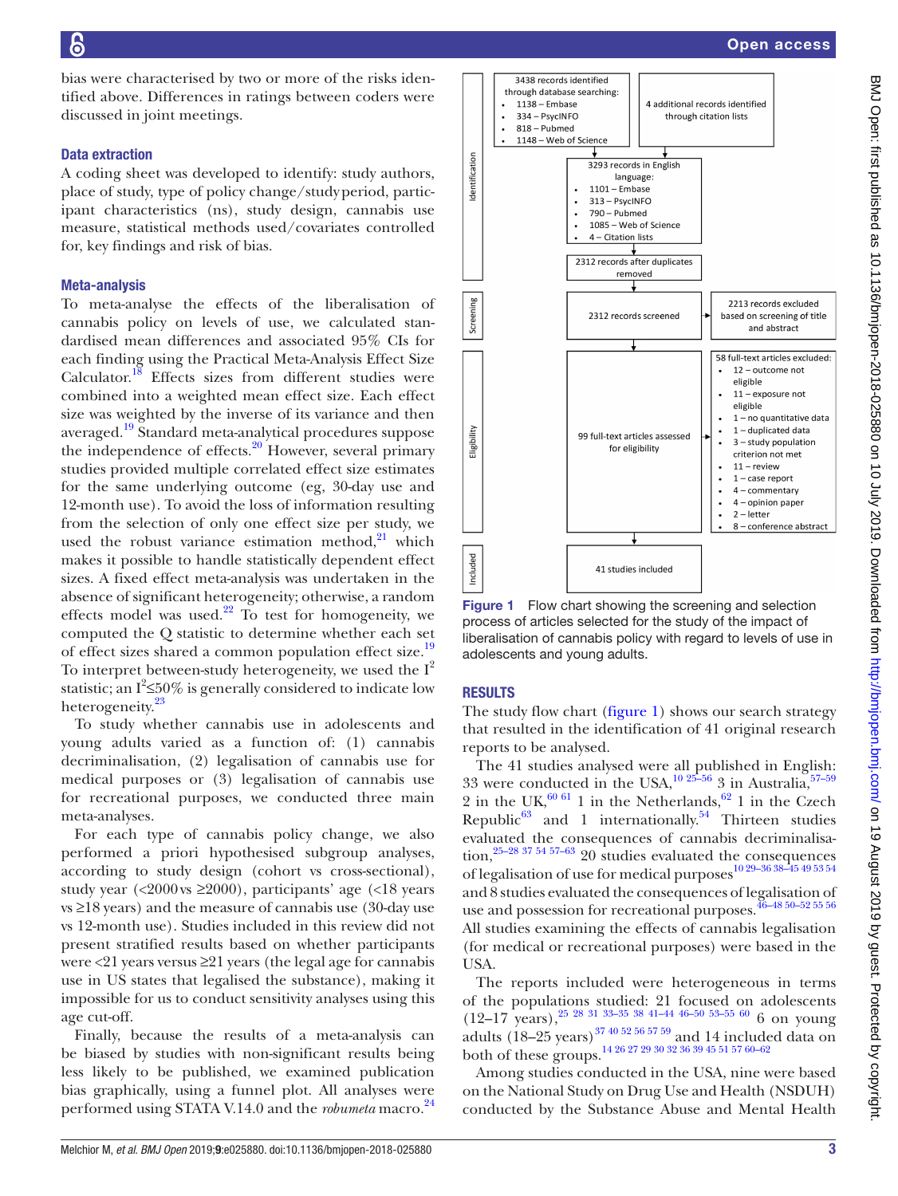bias were characterised by two or more of the risks identified above. Differences in ratings between coders were discussed in joint meetings.

#### Data extraction

A coding sheet was developed to identify: study authors, place of study, type of policy change/studyperiod, participant characteristics (ns), study design, cannabis use measure, statistical methods used/covariates controlled for, key findings and risk of bias.

#### Meta-analysis

To meta-analyse the effects of the liberalisation of cannabis policy on levels of use, we calculated standardised mean differences and associated 95% CIs for each finding using the Practical Meta-Analysis Effect Size Calculator.<sup>[18](#page-11-13)</sup> Effects sizes from different studies were combined into a weighted mean effect size. Each effect size was weighted by the inverse of its variance and then averaged.[19](#page-12-0) Standard meta-analytical procedures suppose the independence of effects. $20$  However, several primary studies provided multiple correlated effect size estimates for the same underlying outcome (eg, 30-day use and 12-month use). To avoid the loss of information resulting from the selection of only one effect size per study, we used the robust variance estimation method, $21$  which makes it possible to handle statistically dependent effect sizes. A fixed effect meta-analysis was undertaken in the absence of significant heterogeneity; otherwise, a random effects model was used. $22$  To test for homogeneity, we computed the Q statistic to determine whether each set of effect sizes shared a common population effect size.<sup>19</sup> To interpret between-study heterogeneity, we used the  $I^2$ statistic; an  $I^2 \le 50\%$  is generally considered to indicate low heterogeneity.<sup>[23](#page-12-4)</sup>

To study whether cannabis use in adolescents and young adults varied as a function of: (1) cannabis decriminalisation, (2) legalisation of cannabis use for medical purposes or (3) legalisation of cannabis use for recreational purposes, we conducted three main meta-analyses.

For each type of cannabis policy change, we also performed a priori hypothesised subgroup analyses, according to study design (cohort vs cross-sectional), study year (<2000 vs  $\geq$ 2000), participants' age (<18 years vs ≥18 years) and the measure of cannabis use (30-day use vs 12-month use). Studies included in this review did not present stratified results based on whether participants were <21 years versus ≥21 years (the legal age for cannabis use in US states that legalised the substance), making it impossible for us to conduct sensitivity analyses using this age cut-off.

Finally, because the results of a meta-analysis can be biased by studies with non-significant results being less likely to be published, we examined publication bias graphically, using a funnel plot. All analyses were performed using STATA V.14.0 and the *robumeta* macro.<sup>24</sup>



<span id="page-2-0"></span>Figure 1 Flow chart showing the screening and selection process of articles selected for the study of the impact of liberalisation of cannabis policy with regard to levels of use in adolescents and young adults.

#### **RESULTS**

The study flow chart [\(figure](#page-2-0) 1) shows our search strategy that resulted in the identification of 41 original research reports to be analysed.

The 41 studies analysed were all published in English: 33 were conducted in the USA,<sup>[10 25–56](#page-11-14)</sup> 3 in Australia,<sup>[57–59](#page-12-6)</sup> 2 in the UK,<sup>[60 61](#page-12-7)</sup> 1 in the Netherlands,<sup>62</sup> 1 in the Czech Republic<sup>63</sup> and 1 internationally.<sup>54</sup> Thirteen studies evaluated the consequences of cannabis decriminalisation[,25–28 37 54 57–63](#page-12-11) 20 studies evaluated the consequences of legalisation of use for medical purposes $10^{29-36}$  38–45 49 53 54 and 8 studies evaluated the consequences of legalisation of use and possession for recreational purposes.<sup>46-48 50-52 55 56</sup> All studies examining the effects of cannabis legalisation (for medical or recreational purposes) were based in the USA.

The reports included were heterogeneous in terms of the populations studied: 21 focused on adolescents  $(12-17 \text{ years})$ ,  $^{25}$   $^{28}$   $^{31}$   $^{33-35}$   $^{38}$   $^{41-44}$   $^{46-50}$   $^{53-55}$   $^{60}$  6 on young adults  $(18-25 \text{ years})^{37-40.52\,56.57.59}$  and 14 included data on both of these groups.<sup>14 26</sup> <sup>27</sup> 29 30 32 36 39 45 51 57 60-62

Among studies conducted in the USA, nine were based on the National Study on Drug Use and Health (NSDUH) conducted by the Substance Abuse and Mental Health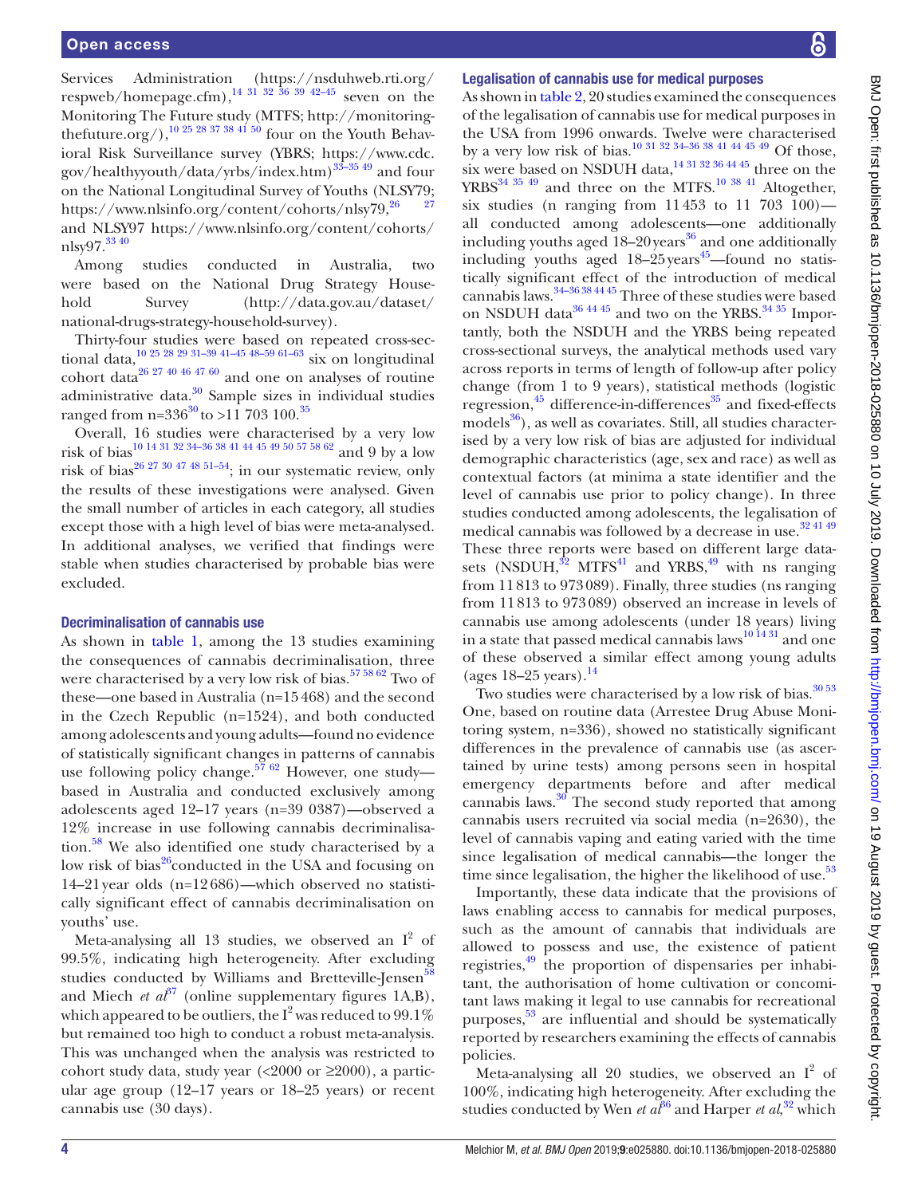Services Administration [\(https://nsduhweb.rti.org/](https://nsduhweb.rti.org/respweb/homepage.cfm) [respweb/homepage.cfm\)](https://nsduhweb.rti.org/respweb/homepage.cfm),  $^{14}$   $^{31}$   $^{32}$   $^{36}$   $^{39}$   $^{42-45}$  seven on the Monitoring The Future study (MTFS; [http://monitoring](http://monitoringthefuture.org/)[thefuture.org/\)](http://monitoringthefuture.org/),<sup>[10 25 28 37 38 41 50](#page-11-14)</sup> four on the Youth Behavioral Risk Surveillance survey (YBRS; [https://www.cdc.](https://www.cdc.gov/healthyyouth/data/yrbs/index.htm) [gov/healthyyouth/data/yrbs/index.htm\)](https://www.cdc.gov/healthyyouth/data/yrbs/index.htm) $33-35/49$  and four on the National Longitudinal Survey of Youths (NLSY79; [https://www.nlsinfo.org/content/cohorts/nlsy79,](https://www.nlsinfo.org/content/cohorts/nlsy79)<sup>26</sup><sup>27</sup> and NLSY97 [https://www.nlsinfo.org/content/cohorts/](https://www.nlsinfo.org/content/cohorts/nlsy97) [nlsy97](https://www.nlsinfo.org/content/cohorts/nlsy97).[33 40](#page-12-14)

Among studies conducted in Australia, two were based on the National Drug Strategy Household Survey [\(http://data.gov.au/dataset/](http://data.gov.au/dataset/national-drugs-strategy-household-survey) [national-drugs-strategy-household-survey\)](http://data.gov.au/dataset/national-drugs-strategy-household-survey).

Thirty-four studies were based on repeated cross-sectional data,<sup>10 25 28 29 31-39 41-45 48-59 61-63</sup> six on longitudinal cohort data<sup>[26 27 40 46 47 60](#page-12-15)</sup> and one on analyses of routine administrative data.[30](#page-12-16) Sample sizes in individual studies ranged from n= $336^{30}$  $336^{30}$  $336^{30}$  to  $>11$  703 100.<sup>[35](#page-12-17)</sup>

Overall, 16 studies were characterised by a very low risk of bias<sup>10 14 31 32 34–36 38 41 44 45 49 50 57 58 62</sup> and 9 by a low risk of bias<sup>[26 27 30 47 48 51–54](#page-12-15)</sup>; in our systematic review, only the results of these investigations were analysed. Given the small number of articles in each category, all studies except those with a high level of bias were meta-analysed. In additional analyses, we verified that findings were stable when studies characterised by probable bias were excluded.

#### Decriminalisation of cannabis use

As shown in [table](#page-4-0) 1, among the 13 studies examining the consequences of cannabis decriminalisation, three were characterised by a very low risk of bias.<sup>[57 58 62](#page-12-6)</sup> Two of these—one based in Australia (n=15 468) and the second in the Czech Republic (n=1524), and both conducted among adolescents and young adults—found no evidence of statistically significant changes in patterns of cannabis use following policy change.<sup>57 62</sup> However, one study based in Australia and conducted exclusively among adolescents aged 12–17 years (n=39 0387)—observed a 12% increase in use following cannabis decriminalisation.[58](#page-12-18) We also identified one study characterised by a low risk of bias $^{26}$ conducted in the USA and focusing on 14–21 year olds (n=12 686)—which observed no statistically significant effect of cannabis decriminalisation on youths' use.

Meta-analysing all 13 studies, we observed an  $I^2$  of 99.5%, indicating high heterogeneity. After excluding studies conducted by Williams and Bretteville-Jensen<sup>58</sup> and Miech *et*  $a^{37}$  $a^{37}$  $a^{37}$  (online [supplementary figures 1A,B](https://dx.doi.org/10.1136/bmjopen-2018-025880)), which appeared to be outliers, the  $\mathbf{I}^2$  was reduced to  $99.1\%$ but remained too high to conduct a robust meta-analysis. This was unchanged when the analysis was restricted to cohort study data, study year  $\left( \langle 2000 \rangle \right)$  or  $\geq 2000$ , a particular age group (12–17 years or 18–25 years) or recent cannabis use (30 days).

#### Legalisation of cannabis use for medical purposes

As shown in [table](#page-6-0) 2, 20 studies examined the consequences of the legalisation of cannabis use for medical purposes in the USA from 1996 onwards. Twelve were characterised by a very low risk of bias.<sup>10 31 32 34–36 38 41 44 45 49</sup> Of those, six were based on NSDUH data,[14 31 32 36 44 45](#page-11-15) three on the  $YRBS<sup>34</sup>$ <sup>35</sup> <sup>49</sup> and three on the MTFS.<sup>10</sup> <sup>38</sup> <sup>41</sup> Altogether, six studies (n ranging from  $11453$  to  $11703$   $100$ ) all conducted among adolescents—one additionally including youths aged 18–20years [36](#page-12-20) and one additionally including youths aged 18–25years [45](#page-12-21)—found no statistically significant effect of the introduction of medical cannabis laws.<sup>34–36</sup> 38<sup>44 45</sup> Three of these studies were based on NSDUH data $36\frac{44\frac{45}{10}}{45}$  and two on the YRBS.  $34\frac{35}{10}$  Importantly, both the NSDUH and the YRBS being repeated cross-sectional surveys, the analytical methods used vary across reports in terms of length of follow-up after policy change (from 1 to 9 years), statistical methods (logistic regression, $45$  difference-in-differences $35$  and fixed-effects  $models^{36}$ , as well as covariates. Still, all studies characterised by a very low risk of bias are adjusted for individual demographic characteristics (age, sex and race) as well as contextual factors (at minima a state identifier and the level of cannabis use prior to policy change). In three studies conducted among adolescents, the legalisation of medical cannabis was followed by a decrease in use. $32\frac{4149}{9}$ These three reports were based on different large datasets (NSDUH, $^{32}$  MTFS<sup>41</sup> and YRBS,<sup>[49](#page-12-24)</sup> with ns ranging from 11813 to 973089). Finally, three studies (ns ranging from 11813 to 973089) observed an increase in levels of cannabis use among adolescents (under 18 years) living in a state that passed medical cannabis laws<sup>10 14 31</sup> and one of these observed a similar effect among young adults (ages  $18-25$  years).<sup>14</sup>

Two studies were characterised by a low risk of bias.<sup>30 53</sup> One, based on routine data (Arrestee Drug Abuse Monitoring system, n=336), showed no statistically significant differences in the prevalence of cannabis use (as ascertained by urine tests) among persons seen in hospital emergency departments before and after medical cannabis laws. $30$  The second study reported that among cannabis users recruited via social media (n=2630), the level of cannabis vaping and eating varied with the time since legalisation of medical cannabis—the longer the time since legalisation, the higher the likelihood of use. $53$ 

Importantly, these data indicate that the provisions of laws enabling access to cannabis for medical purposes, such as the amount of cannabis that individuals are allowed to possess and use, the existence of patient registries,[49](#page-12-24) the proportion of dispensaries per inhabitant, the authorisation of home cultivation or concomitant laws making it legal to use cannabis for recreational purposes, [53](#page-12-25) are influential and should be systematically reported by researchers examining the effects of cannabis policies.

Meta-analysing all 20 studies, we observed an  $I^2$  of 100%, indicating high heterogeneity. After excluding the studies conducted by Wen *et*  $a\overline{l}^{36}$  $a\overline{l}^{36}$  $a\overline{l}^{36}$  and Harper *et*  $a\overline{l}^{32}$  which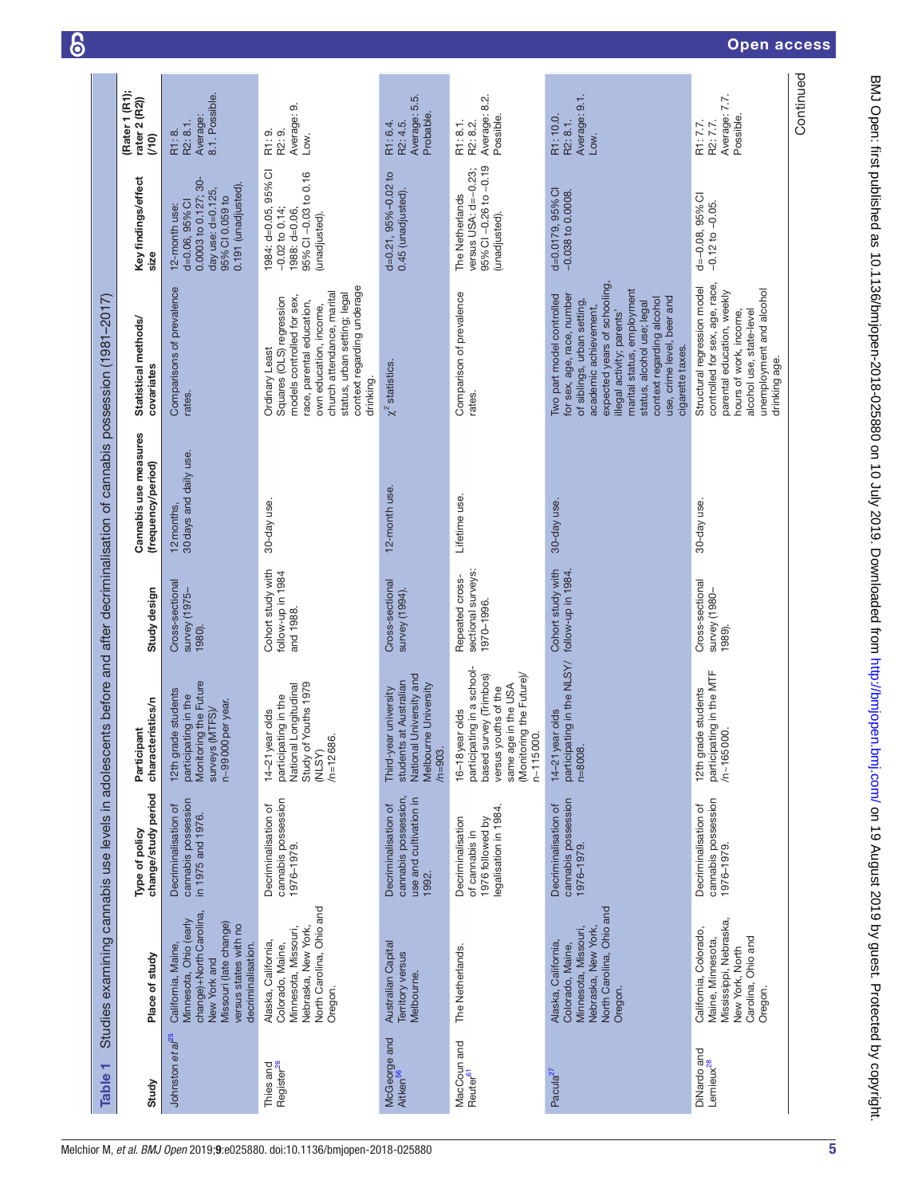| <b>Table</b>                         |                                                                                                                                                                  |                                                                                  |                                                                                                                                                                      |                                                     | Studies examining cannabis use levels in adolescents before and after decriminalisation of cannabis possession (1981-2017) |                                                                                                                                                                                                                                          |                                                                                                                        |                                                    |
|--------------------------------------|------------------------------------------------------------------------------------------------------------------------------------------------------------------|----------------------------------------------------------------------------------|----------------------------------------------------------------------------------------------------------------------------------------------------------------------|-----------------------------------------------------|----------------------------------------------------------------------------------------------------------------------------|------------------------------------------------------------------------------------------------------------------------------------------------------------------------------------------------------------------------------------------|------------------------------------------------------------------------------------------------------------------------|----------------------------------------------------|
| Study                                | Place of study                                                                                                                                                   | change/study period<br>Type of policy                                            | characteristics/n<br>Participant                                                                                                                                     | Study design                                        | Cannabis use measures<br>(frequency/period)                                                                                | Statistical methods/<br>covariates                                                                                                                                                                                                       | Key findings/effect<br>size                                                                                            | Rater 1 (R1);<br>rater 2 (R2)<br>(710)             |
| Johnston et al <sup>25</sup>         | change)+North Carolina,<br>Minnesota, Ohio (early<br>Missouri (late change)<br>versus states with no<br>California, Maine,<br>decriminalisation.<br>New York and | cannabis possession<br>Decriminalisation of<br>in 1975 and 1976.                 | Monitoring the Future<br>12th grade students<br>participating in the<br>per year.<br>surveys (MTFS)/<br>n~99000                                                      | Cross-sectional<br>survey (1975–<br>1980).          | 30 days and daily use.<br>12 months,                                                                                       | Comparisons of prevalence<br>rates.                                                                                                                                                                                                      | 0.0003 to 0.127; 30-<br>0.191 (unadjusted).<br>day use: d=0.125,<br>95% CI 0.059 to<br>d=0.06, 95% CI<br>12-month use: | 8.1. Possible.<br>Average:<br>R2: 8.1.<br>R1: 8.   |
| Thies and<br>Register <sup>26</sup>  | North Carolina, Ohio and<br>Nebraska, New York,<br>Minnesota, Missouri,<br>Alaska, California,<br>Colorado, Maine,<br>Oregon.                                    | cannabis possession<br>Decriminalisation of<br>1976-1979.                        | Study of Youths 1979<br>Longitudinal<br>participating in the<br>14-21 year olds<br>$/n = 12686.$<br>National<br>(NLSY)                                               | Cohort study with<br>follow-up in 1984<br>and 1988. | 30-day use.                                                                                                                | context regarding underage<br>church attendance, marital<br>status, urban setting; legal<br>models controlled for sex,<br>Squares (OLS) regression<br>race, parental education,<br>own education, income,<br>Ordinary Least<br>drinking. | 1984: d=0.05, 95% CI<br>95% CI-0.03 to 0.16<br>$-0.02$ to $0.14$ ;<br>1988: d=0.06,<br>(unadjusted).                   | Average: 9.<br>R1: 9.<br>R2: 9.<br>Low.            |
| McGeorge and<br>Aitken <sup>56</sup> | Australian Capital<br>Territory versus<br>Melbourne.                                                                                                             | cannabis possession,<br>use and cultivation in<br>Decriminalisation of<br>1992.  | University and<br>students at Australian<br>Melbourne University<br>Third-year university<br><b>National</b><br>$/n = 903.$                                          | Cross-sectional<br>survey (1994).                   | 12-month use.                                                                                                              | $\chi^2$ statistics.                                                                                                                                                                                                                     | $d = 0.21$ , $95\% - 0.02$ to<br>0.45 (unadjusted).                                                                    | Average: 5.5.<br>Probable.<br>R2: 4.5.<br>R1: 6.4. |
| MacCoun and<br>Reuter <sup>61</sup>  | The Netherlands.                                                                                                                                                 | legalisation in 1984.<br>Decriminalisation<br>1976 followed by<br>of cannabis in | participating in a school-<br>(Monitoring the Future)/<br>based survey (Trimbos)<br>same age in the USA<br>versus youths of the<br>16-18 year olds<br>$n - 115000$ . | sectional surveys:<br>Repeated cross-<br>1970-1996. | Lifetime use.                                                                                                              | Comparison of prevalence<br>rates                                                                                                                                                                                                        | 95% CI -0.26 to -0.19<br>versus USA: d=-0.23;<br>The Netherlands<br>unadjusted).                                       | Average: 8.2.<br>Possible.<br>R1: 8.1.<br>R2: 8.2. |
| Pacula <sup>27</sup>                 | North Carolina, Ohio and<br>Nebraska, New York,<br>Minnesota, Missouri,<br>Alaska, California,<br>Colorado, Maine,<br>Oregon.                                    | cannabis possession<br>Decriminalisation of<br>1976-1979.                        | participating in the NLSY/<br>14-21 year olds<br>$n = 8008$ .                                                                                                        | Cohort study with<br>follow-up in 1984.             | 30-day use.                                                                                                                | expected years of schooling<br>marital status, employment<br>Two part model controlled<br>for sex, age, race, number<br>status, alcohol use; legal<br>of siblings, urban setting<br>academic achievement<br>illegal activity; parents'   | d=0.0179, 95% Cl<br>$-0.038$ to 0.0008.                                                                                | Average: 9.1.<br>R1:10.0<br>R2: 8.1.<br>Low.       |

 $\epsilon$ 

Continued

Continued

drinking age.

drinking age.

unemployment and alcohol

nomo ori monitori<br>alcohol use, state-level hours of work, income,

status, alcohol use; legal context regarding alcohol use, crime level, beer and cigarette taxes.

context regarding alcohol<br>use, crime level, beer and

<span id="page-4-0"></span>DiNardo and DiNardo and<br>Lemieux<sup>[28](#page-12-29)</sup>

California, Colorado, Maine, Minnesota, Mississippi, Nebraska, New York, North Carolina, Ohio and Oregon.

California, Colorado,<br>Maine, Minnesota,<br>Mississippi, Nebraska,

New York, North<br>Carolina, Ohio and

Decriminalisation of cannabis possession 1976–1979.

Decriminalisation of<br>cannabis possession<br>1976–1979.

12th grade students participating in the MTF

12th grade students<br>participating in the MTF<br>/n~165 000.

Cross-sectional survey (1980– Cross-sectional<br>survey (1980–<br>1989).

30-day use.

30-day use. Structural regression model

controlled for sex, age, race, parental education, weekly hours of work, income, alcohol use, state-level unemployment and alcohol

Structural regression model controlled for sex, age, race, parental education, weekly

cigarette taxes.

d=−0.08, 95%CI −0.12 to −0.05.

d=-0.08, 95% CI<br>-0.12 to -0.05.

R1: 7.7. R2: 7.7. Average: 7.7. Possible.

Possible.

/n~165000.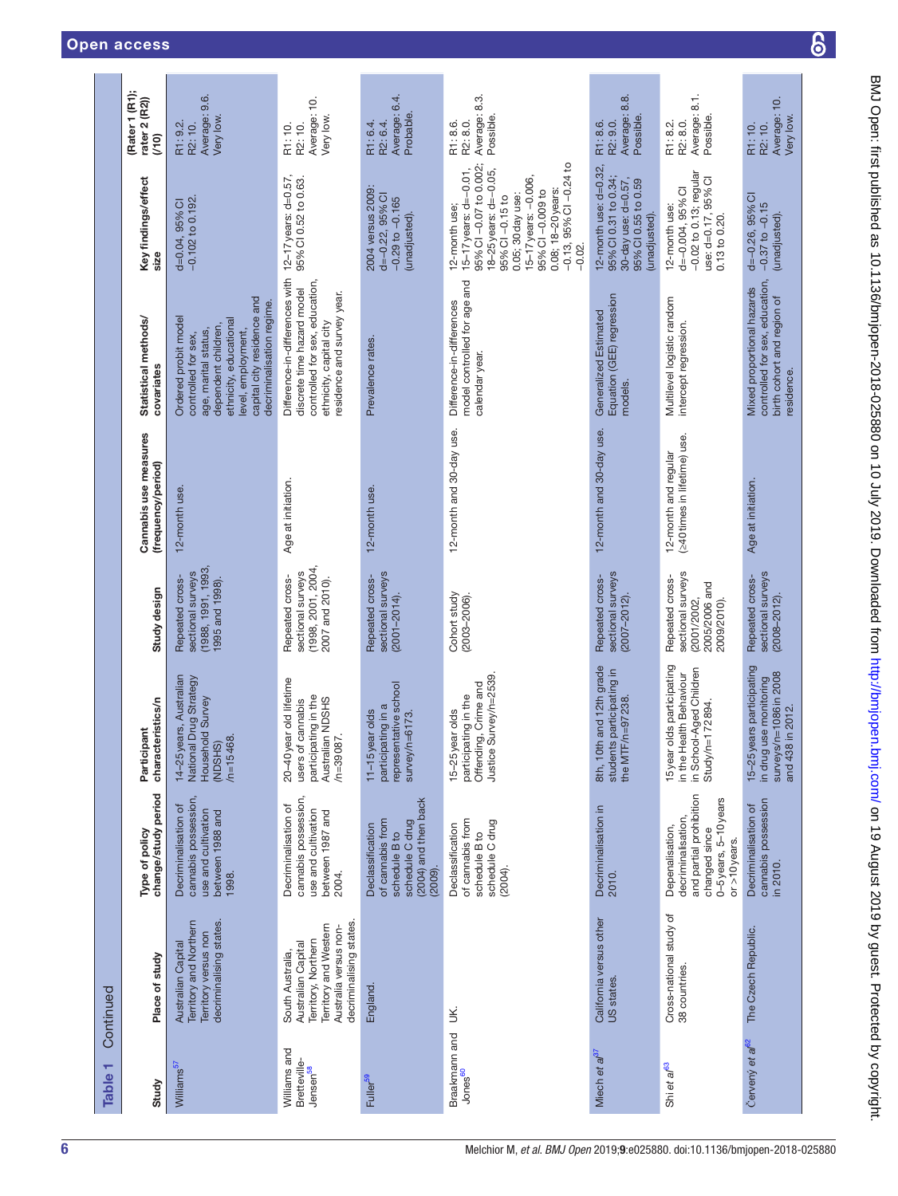| Table <sub>1</sub>                                   | Continued                                                                                                                                  |                                                                                                                                   |                                                                                                       |                                                                                     |                                                      |                                                                                                                                                                                                       |                                                                                                                                                                                                                                                                |                                                    |
|------------------------------------------------------|--------------------------------------------------------------------------------------------------------------------------------------------|-----------------------------------------------------------------------------------------------------------------------------------|-------------------------------------------------------------------------------------------------------|-------------------------------------------------------------------------------------|------------------------------------------------------|-------------------------------------------------------------------------------------------------------------------------------------------------------------------------------------------------------|----------------------------------------------------------------------------------------------------------------------------------------------------------------------------------------------------------------------------------------------------------------|----------------------------------------------------|
| Study                                                | Place of study                                                                                                                             | change/study period<br>Type of policy                                                                                             | characteristics/n<br>Participant                                                                      | Study design                                                                        | Cannabis use measures<br>(frequency/period)          | Statistical methods/<br>covariates                                                                                                                                                                    | Key findings/effect<br>size                                                                                                                                                                                                                                    | (Rater 1 (R1);<br>rater 2 (R2)<br>(710)            |
| Williams <sup>57</sup>                               | Territory and Northern<br>decriminalising states.<br>Territory versus non<br>Australian Capita                                             | cannabis possession<br>Decriminalisation of<br>use and cultivation<br>between 1988 and<br>1998.                                   | 14-25 years, Australian<br>National Drug Strategy<br>Household Survey<br>$/n = 15468.$<br>(NDSHS)     | (1988, 1991, 1993,<br>sectional surveys<br>1995 and 1998).<br>Repeated cross        | 12-month use.                                        | capital city residence and<br>decriminalisation regime.<br>Ordered probit model<br>ethnicity, educational<br>dependent children,<br>age, marital status,<br>level, employment,<br>controlled for sex, | $-0.102$ to 0.192<br>d=0.04, 95% CI                                                                                                                                                                                                                            | Average: 9.6.<br>Very low.<br>R1: 9.2.<br>R2: 10.  |
| Williams and<br>Bretteville-<br>Jensen <sup>58</sup> | decriminalising states.<br>Territory and Western<br>Australia versus non-<br>Territory, Northern<br>Australian Capital<br>South Australia, | cannabis possession,<br>Decriminalisation of<br>use and cultivation<br>between 1987 and<br>2004.                                  | 20-40 year old lifetime<br>participating in the<br>Australian NDSHS<br>/n=39087.<br>users of cannabis | (1998, 2001, 2004,<br>sectional surveys<br>Repeated cross-<br>2007 and 2010).       | Age at initiation.                                   | Difference-in-differences with<br>controlled for sex, education,<br>discrete time hazard model<br>residence and survey year.<br>ethnicity, capital city                                               | 12-17 years: $d = 0.57$ ,<br>95% CI 0.52 to 0.63.                                                                                                                                                                                                              | Average: 10.<br>Very low.<br>R2: 10.<br>R1:10.     |
| Fuller <sup>59</sup>                                 | England                                                                                                                                    | (2004) and then back<br>schedule C drug<br>of cannabis from<br>Declassification<br>schedule B to<br>$(2009)$ .                    | representative school<br>participating in a<br>$11 - 15$ year olds<br>survey/n=6173.                  | sectional surveys<br>Repeated cross-<br>$(2001 - 2014)$ .                           | 12-month use.                                        | Prevalence rates.                                                                                                                                                                                     | 2004 versus 2009:<br>d=-0.22, 95% CI<br>$-0.29$ to $-0.165$<br>(unadjusted).                                                                                                                                                                                   | Average: 6.4.<br>Probable.<br>R2: 6.4.<br>R1: 6.4. |
| Braakmann and UK.<br>Jones <sup>60</sup>             |                                                                                                                                            | of cannabis from<br>schedule C drug<br>Declassification<br>schedule B to<br>$(2004)$ .                                            | Survey/n=2539.<br>Offending, Crime and<br>participating in the<br>15-25 year olds<br>Justice          | Cohort study<br>$(2003 - 2006)$ .                                                   | 12-month and 30-day use.                             | model controlled for age and<br>Difference-in-differences<br>calendar year.                                                                                                                           | $-0.13$ , 95% CI $-0.24$ to<br>95% CI -0.07 to 0.002;<br>18-25 years: d=-0.05,<br>$15 - 17$ years: $d = -0.01$<br>15-17 years: -0.006,<br>$0.08; 18 - 20$ years:<br>$95\%$ Cl $-0.009$ to<br>0.05; 30 day use:<br>95% CI-0.15 to<br>12-month use;<br>$-0.02$ . | Average: 8.3.<br>Possible<br>R1: 8.6.<br>R2: 8.0.  |
| Miech et al <sup>37</sup>                            | California versus other<br>US states.                                                                                                      | Decriminalisation in<br>2010.                                                                                                     | 8th, 10th and 12th grade<br>students participating in<br>the MTF/n=97238.                             | sectional surveys<br>Repeated cross-<br>$(2007 - 2012)$                             | 12-month and 30-day use.                             | Equation (GEE) regression<br>Generalized Estimated<br>models.                                                                                                                                         | 12-month use: d=0.32,<br>95% Cl 0.31 to 0.34;<br>30-day use: d=0.57,<br>95% CI 0.55 to 0.59<br>(unadjusted).                                                                                                                                                   | Average: 8.8.<br>Possible.<br>R2: 9.0.<br>R1: 8.6. |
| Shi et al <sup>63</sup>                              | Cross-national study of<br>38 countries.                                                                                                   | and partial prohibition<br>$0-5$ years, $5-10$ years<br>decriminalisation,<br>Depenalisation,<br>changed since<br>$or$ >10 years. | 15 year olds participating<br>in the Health Behaviour<br>in School-Aged Children<br>Study/n=172894.   | sectional surveys<br>Repeated cross-<br>2005/2006 and<br>(2001/2002,<br>2009/2010). | (240 times in lifetime) use.<br>12-month and regular | Multilevel logistic random<br>intercept regression.                                                                                                                                                   | $-0.02$ to 0.13; regular<br>use: d=0.17, 95% CI<br>d=-0.004, 95% CI<br>12-month use:<br>$0.13$ to $0.20$ .                                                                                                                                                     | Average: 8.1.<br>Possible.<br>R1:8.2.<br>R2: 8.0.  |
| Červený et al <sup>62</sup>                          | The Czech Republic.                                                                                                                        | cannabis possession<br>Decriminalisation of<br>in 2010.                                                                           | 15-25 years participating<br>in drug use monitoring<br>surveys/n=1086in 2008<br>and 438 in 2012.      | sectional surveys<br>Repeated cross-<br>$(2008 - 2012)$                             | Age at initiation.                                   | controlled for sex, education,<br><b>Mixed proportional hazards</b><br>birth cohort and region of<br>residence.                                                                                       | d=-0.26, 95% CI<br>$-0.37$ to $-0.15$<br>(unadjusted).                                                                                                                                                                                                         | Average: 10.<br>Very low.<br>R2: 10.<br>R1:10.     |
|                                                      |                                                                                                                                            |                                                                                                                                   |                                                                                                       |                                                                                     |                                                      |                                                                                                                                                                                                       |                                                                                                                                                                                                                                                                |                                                    |

 $\overline{6}$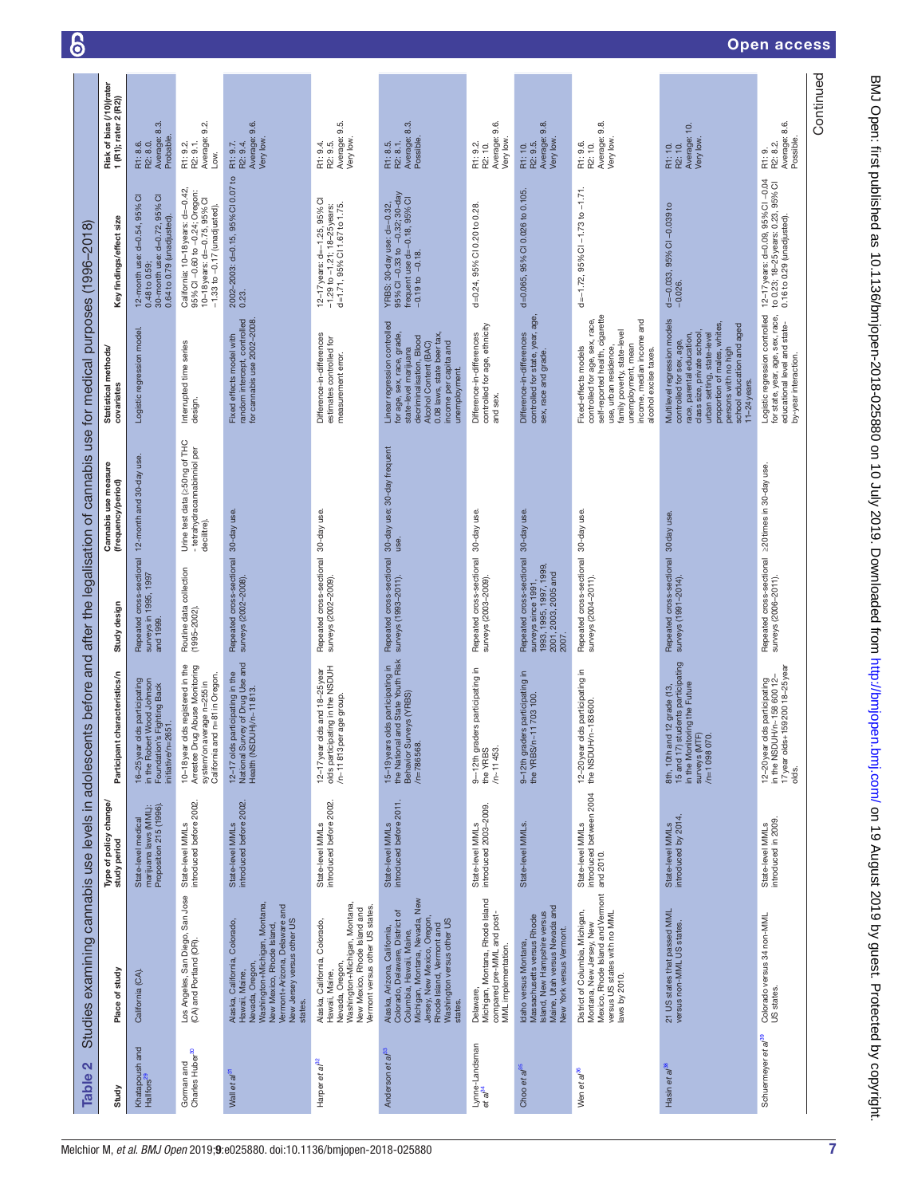<span id="page-6-0"></span>

| Average: 9.6.<br>Average: 9.5.<br>Average: 8.3<br>$\frac{2}{9}$ .<br>Average: 8.3.<br>Possible.<br>Average: 9.6.<br>Average: 9.8<br>Average: 9.8.<br>Very low.<br>Average: 8.6.<br>Average: 10.<br>Very low.<br>Probable.<br>Average:<br>Very low.<br>Possible.<br>Very low.<br>Very low.<br>Very low<br>R1: 9.6.<br>R2: 10.<br>R1:86.<br>R2:80.<br>R2: 9.1.<br>R1:97.<br>R2:94.<br>R1: 9.4.<br>R2: 9.5.<br>R1:8.5.<br>R2:8.1.<br>R2: 9.5.<br>R1:92.<br>R2:10.<br>R1 : 9.<br>R2 : 8.2.<br>R1:9.2.<br>R1:10.<br>R1:10.<br>R2:10.<br>Low.<br>2002–2003: d=0.15, 95% Cl 0.07 to<br>0.23.<br>12–17 years: d=0.09, 95% Cl –0.04<br>to 0.23; 18–25 years: 0.23, 95% Cl<br>0.16 to 0.29 (unadjusted).<br>$d = -1.72$ , 95% CI $-1.73$ to $-1.71$ .<br>California: 10-18 years: d=-0.42<br>95% Cl -0.60 to -0.24; Oregon:<br>10-18 years: d=-0.75, 95% Cl<br>d=0.065, 95% CI 0.026 to 0.105.<br>YRBS: 30-day use: d=-0.32,<br>95% Cl -0.33 to -0.32; 30-day<br>frequent use d=-0.18, 95% Cl<br>12-month use: d=0.54, 95% Cl<br>30-month use: d=0.72, 95% CI<br>12-17 years: d=-1.25, 95% CI<br>$-1.29$ to $-1.21$ ; 18-25 years:<br>d=1.71, 95 % Cl 1.67 to 1.75.<br>d=0.24, 95% CI 0.20 to 0.28.<br>d=-0.033, 95% CI -0.039 to<br>-0.026.<br>$-1.33$ to $-0.17$ (unadjusted).<br>Key findings/effect size<br>0.64 to 0.79 (unadjusted)<br>$-0.19$ to $-0.18$ .<br>$0.48$ to $0.59$ ;<br>Logistic regression controlled<br>for state, year, age, sex, race,<br>controlled for age, sex, race,<br>self-reported health, cigarette<br>controlled for state, year, age,<br>random intercept, controlled<br>for cannabis use 2002-2008<br>income, median income and<br>Multilevel regression models<br>educational level and state-<br>Linear regression controlled<br>proportion of males, whites,<br>school education and aged<br>controlled for age, ethnicity<br>Logistic regression model<br>family poverty, state-level<br>class size, private school<br>for age, sex, race, grade,<br>state-level marijuana<br>0.08 laws, state beer tax,<br>Fixed effects model with<br>Difference-in-differences<br>Difference-in-differences<br>Difference-in-differences<br>race, parental education,<br>urban setting, state-level<br>decriminalisation, Blood<br>estimates controlled for<br>controlled for sex, age,<br>Interrupted time series<br>Alcohol Content (BAC)<br>income per capita and<br>unemployment, mean<br>use, urban residence,<br>persons with no high<br>Fixed-effects models<br>alcohol excise taxes.<br>sex, race and grade.<br>measurement error.<br>by-year interaction.<br>unemployment.<br>$11-24$ years.<br>covariates<br>and sex.<br>design.<br>Urine test data (≥50 ng of THC<br>30-day use; 30-day frequent<br>tetrahydracannabinniol per<br>Repeated cross-sectional  12-month and 30-day use.<br>surveys in 1995, 1997<br>and 1999.<br>Repeated cross-sectional ≥20 times in 30-day use.<br>surveys (2006–2011).<br>(frequency/period)<br>Repeated cross-sectional 30-day use.<br>surveys (2002-2008).<br>Repeated cross-sectional 30-day use.<br>surveys (2002-2009).<br>Repeated cross-sectional 30-day use.<br>surveys (2003–2009).<br>Repeated cross-sectional 30-day use.<br>surveys (2004-2011).<br>30-day use<br>Repeated cross-sectional 30 day use.<br>surveys (1991–2014).<br>decilitre).<br>use.<br>Repeated cross-sectional<br>Repeated cross-sectional<br>surveys (1993–2011).<br>1993, 1995, 1997, 1999,<br>2001, 2003, 2005 and<br>Routine data collection<br>(1995–2002).<br>surveys since 1991,<br>Study design<br>2007.<br>15–19 years olds participating in<br>the National and State Youth Risk<br>Behavior Surveys (YRBS)<br>students participating<br>12–17 olds participating in the<br>National Survey of Drug Use and<br>Health (NSDUH)/n–11 813.<br>olds registered in the<br>Arrestee Drug Abuse Monitoring<br>12–17 year olds and 18–25 year<br>olds participating in the NSDUH<br>/n~11 813 per age group.<br>i2–20year olds participating<br>in the NSDUH/n∽158 600 12–<br>17year olds∔159200 18–25 year<br>olds.<br>9--12th graders participating in<br>the YRBS<br>12-20 year olds participating in<br>the NSDUH/n~183600.<br>9-12th graders participating in<br>the YRBS/n~11 703 100.<br>Participant characteristics/n<br>system⁄onaverage n=255 in<br>California and n=81 in Oregon.<br>16–25 year olds participating<br>in the Robert Wood Johnson<br>Foundation's Fighting Back<br>toring the Future<br>8th, 10th and 12 grade (13,<br>15 and 17) students particip<br>$= 2651.$<br>E<br>$/n = 1098070$ .<br>initiative/n-<br>$10-18$ year<br>$/n = 786568$<br>in the Moni<br>surveys (M<br>$/n - 11453$ . |                                                                                                                                                                                                                                                                                  | Studies examining cannabis use levels in adolesce<br>Type of policy change/ |  | nts before and after the legalisation of cannabis use for medical purposes (1996-2018) |                      |                                                   |
|------------------------------------------------------------------------------------------------------------------------------------------------------------------------------------------------------------------------------------------------------------------------------------------------------------------------------------------------------------------------------------------------------------------------------------------------------------------------------------------------------------------------------------------------------------------------------------------------------------------------------------------------------------------------------------------------------------------------------------------------------------------------------------------------------------------------------------------------------------------------------------------------------------------------------------------------------------------------------------------------------------------------------------------------------------------------------------------------------------------------------------------------------------------------------------------------------------------------------------------------------------------------------------------------------------------------------------------------------------------------------------------------------------------------------------------------------------------------------------------------------------------------------------------------------------------------------------------------------------------------------------------------------------------------------------------------------------------------------------------------------------------------------------------------------------------------------------------------------------------------------------------------------------------------------------------------------------------------------------------------------------------------------------------------------------------------------------------------------------------------------------------------------------------------------------------------------------------------------------------------------------------------------------------------------------------------------------------------------------------------------------------------------------------------------------------------------------------------------------------------------------------------------------------------------------------------------------------------------------------------------------------------------------------------------------------------------------------------------------------------------------------------------------------------------------------------------------------------------------------------------------------------------------------------------------------------------------------------------------------------------------------------------------------------------------------------------------------------------------------------------------------------------------------------------------------------------------------------------------------------------------------------------------------------------------------------------------------------------------------------------------------------------------------------------------------------------------------------------------------------------------------------------------------------------------------------------------------------------------------------------------------------------------------------------------------------------------------------------------------------------------------------------------------------------------------------------------------------------------------------------------------------------------------------------------------------------------------------------------------------------------------------------------------------------------------------------------------------------------------------------------------------------------------------------------------------------------------------------------------------------------------------------------------------------------------------------------------------------------------------------------------------------------------------------------------------------------------------------------------------------------------------------------------------------------------------------------------------------------------------------------------------------------------|----------------------------------------------------------------------------------------------------------------------------------------------------------------------------------------------------------------------------------------------------------------------------------|-----------------------------------------------------------------------------|--|----------------------------------------------------------------------------------------|----------------------|---------------------------------------------------|
|                                                                                                                                                                                                                                                                                                                                                                                                                                                                                                                                                                                                                                                                                                                                                                                                                                                                                                                                                                                                                                                                                                                                                                                                                                                                                                                                                                                                                                                                                                                                                                                                                                                                                                                                                                                                                                                                                                                                                                                                                                                                                                                                                                                                                                                                                                                                                                                                                                                                                                                                                                                                                                                                                                                                                                                                                                                                                                                                                                                                                                                                                                                                                                                                                                                                                                                                                                                                                                                                                                                                                                                                                                                                                                                                                                                                                                                                                                                                                                                                                                                                                                                                                                                                                                                                                                                                                                                                                                                                                                                                                                                                                                                                  | study period<br>Place of study                                                                                                                                                                                                                                                   |                                                                             |  | Cannabis use measure                                                                   | Statistical methods/ | Risk of bias (/10)(rater<br>1 (R1); rater 2 (R2)) |
|                                                                                                                                                                                                                                                                                                                                                                                                                                                                                                                                                                                                                                                                                                                                                                                                                                                                                                                                                                                                                                                                                                                                                                                                                                                                                                                                                                                                                                                                                                                                                                                                                                                                                                                                                                                                                                                                                                                                                                                                                                                                                                                                                                                                                                                                                                                                                                                                                                                                                                                                                                                                                                                                                                                                                                                                                                                                                                                                                                                                                                                                                                                                                                                                                                                                                                                                                                                                                                                                                                                                                                                                                                                                                                                                                                                                                                                                                                                                                                                                                                                                                                                                                                                                                                                                                                                                                                                                                                                                                                                                                                                                                                                                  | marijuana laws (MML):<br>Proposition 215 (1996).<br>State-level medical<br>California (CA)                                                                                                                                                                                       |                                                                             |  |                                                                                        |                      |                                                   |
|                                                                                                                                                                                                                                                                                                                                                                                                                                                                                                                                                                                                                                                                                                                                                                                                                                                                                                                                                                                                                                                                                                                                                                                                                                                                                                                                                                                                                                                                                                                                                                                                                                                                                                                                                                                                                                                                                                                                                                                                                                                                                                                                                                                                                                                                                                                                                                                                                                                                                                                                                                                                                                                                                                                                                                                                                                                                                                                                                                                                                                                                                                                                                                                                                                                                                                                                                                                                                                                                                                                                                                                                                                                                                                                                                                                                                                                                                                                                                                                                                                                                                                                                                                                                                                                                                                                                                                                                                                                                                                                                                                                                                                                                  | State-level MMLs<br>introduced before 2002.<br>Los Angeles, San Diego, San Jose<br>(CA) and Portland (OR).                                                                                                                                                                       |                                                                             |  |                                                                                        |                      |                                                   |
|                                                                                                                                                                                                                                                                                                                                                                                                                                                                                                                                                                                                                                                                                                                                                                                                                                                                                                                                                                                                                                                                                                                                                                                                                                                                                                                                                                                                                                                                                                                                                                                                                                                                                                                                                                                                                                                                                                                                                                                                                                                                                                                                                                                                                                                                                                                                                                                                                                                                                                                                                                                                                                                                                                                                                                                                                                                                                                                                                                                                                                                                                                                                                                                                                                                                                                                                                                                                                                                                                                                                                                                                                                                                                                                                                                                                                                                                                                                                                                                                                                                                                                                                                                                                                                                                                                                                                                                                                                                                                                                                                                                                                                                                  | State-level MMLs<br>introduced before 2002.<br>Washington+Michigan, Montana<br>Vermont+Arizona, Delaware and<br>New Jersey versus other US<br>Alaska, California, Colorado,<br>Hawaii, Maine,<br>New Mexico, Rhode Island,<br>Nevada, Oregon,<br>states.                         |                                                                             |  |                                                                                        |                      |                                                   |
|                                                                                                                                                                                                                                                                                                                                                                                                                                                                                                                                                                                                                                                                                                                                                                                                                                                                                                                                                                                                                                                                                                                                                                                                                                                                                                                                                                                                                                                                                                                                                                                                                                                                                                                                                                                                                                                                                                                                                                                                                                                                                                                                                                                                                                                                                                                                                                                                                                                                                                                                                                                                                                                                                                                                                                                                                                                                                                                                                                                                                                                                                                                                                                                                                                                                                                                                                                                                                                                                                                                                                                                                                                                                                                                                                                                                                                                                                                                                                                                                                                                                                                                                                                                                                                                                                                                                                                                                                                                                                                                                                                                                                                                                  | State-level MMLs<br>introduced before 2002.<br>Washington+Michigan, Montana,<br>Vermont versus other US states<br>New Mexico, Rhode Island and<br>Alaska, California, Colorado,<br>Nevada, Oregon,<br>Hawaii, Maine,                                                             |                                                                             |  |                                                                                        |                      |                                                   |
|                                                                                                                                                                                                                                                                                                                                                                                                                                                                                                                                                                                                                                                                                                                                                                                                                                                                                                                                                                                                                                                                                                                                                                                                                                                                                                                                                                                                                                                                                                                                                                                                                                                                                                                                                                                                                                                                                                                                                                                                                                                                                                                                                                                                                                                                                                                                                                                                                                                                                                                                                                                                                                                                                                                                                                                                                                                                                                                                                                                                                                                                                                                                                                                                                                                                                                                                                                                                                                                                                                                                                                                                                                                                                                                                                                                                                                                                                                                                                                                                                                                                                                                                                                                                                                                                                                                                                                                                                                                                                                                                                                                                                                                                  | State-level MMLs<br>introduced before 2011.<br>Michigan, Montana, Nevada, New<br>Colorado, Delaware, District of<br>Jersey, New Mexico, Oregon,<br>Washington versus other US<br>Rhode Island, Vermont and<br>Alaska, Arizona, California<br>Columbia, Hawaii, Maine,<br>states. |                                                                             |  |                                                                                        |                      |                                                   |
|                                                                                                                                                                                                                                                                                                                                                                                                                                                                                                                                                                                                                                                                                                                                                                                                                                                                                                                                                                                                                                                                                                                                                                                                                                                                                                                                                                                                                                                                                                                                                                                                                                                                                                                                                                                                                                                                                                                                                                                                                                                                                                                                                                                                                                                                                                                                                                                                                                                                                                                                                                                                                                                                                                                                                                                                                                                                                                                                                                                                                                                                                                                                                                                                                                                                                                                                                                                                                                                                                                                                                                                                                                                                                                                                                                                                                                                                                                                                                                                                                                                                                                                                                                                                                                                                                                                                                                                                                                                                                                                                                                                                                                                                  | State-level MMLs<br>introduced 2003-2009.<br>Delaware,<br>Michigan, Montana, Rhode Island<br>Michigan, Montana, Rhode Island<br>compared pre-MML and post-<br>MML implementation.                                                                                                |                                                                             |  |                                                                                        |                      |                                                   |
|                                                                                                                                                                                                                                                                                                                                                                                                                                                                                                                                                                                                                                                                                                                                                                                                                                                                                                                                                                                                                                                                                                                                                                                                                                                                                                                                                                                                                                                                                                                                                                                                                                                                                                                                                                                                                                                                                                                                                                                                                                                                                                                                                                                                                                                                                                                                                                                                                                                                                                                                                                                                                                                                                                                                                                                                                                                                                                                                                                                                                                                                                                                                                                                                                                                                                                                                                                                                                                                                                                                                                                                                                                                                                                                                                                                                                                                                                                                                                                                                                                                                                                                                                                                                                                                                                                                                                                                                                                                                                                                                                                                                                                                                  | State-level MMLs.<br>Maine, Utah versus Nevada and<br>Island, New Hampshire versus<br>Massachusetts versus Rhode<br>New York versus Vermont.<br>Idaho versus Montana,                                                                                                            |                                                                             |  |                                                                                        |                      |                                                   |
|                                                                                                                                                                                                                                                                                                                                                                                                                                                                                                                                                                                                                                                                                                                                                                                                                                                                                                                                                                                                                                                                                                                                                                                                                                                                                                                                                                                                                                                                                                                                                                                                                                                                                                                                                                                                                                                                                                                                                                                                                                                                                                                                                                                                                                                                                                                                                                                                                                                                                                                                                                                                                                                                                                                                                                                                                                                                                                                                                                                                                                                                                                                                                                                                                                                                                                                                                                                                                                                                                                                                                                                                                                                                                                                                                                                                                                                                                                                                                                                                                                                                                                                                                                                                                                                                                                                                                                                                                                                                                                                                                                                                                                                                  | introduced between 2004<br>and 2010.<br>State-level MMLs<br>Montana, New Jersey, New<br>Mexico, Rhode Island and Vermont<br>versus US states with no MML<br>District of Columbia, Michigan,<br>laws by 2010.                                                                     |                                                                             |  |                                                                                        |                      |                                                   |
|                                                                                                                                                                                                                                                                                                                                                                                                                                                                                                                                                                                                                                                                                                                                                                                                                                                                                                                                                                                                                                                                                                                                                                                                                                                                                                                                                                                                                                                                                                                                                                                                                                                                                                                                                                                                                                                                                                                                                                                                                                                                                                                                                                                                                                                                                                                                                                                                                                                                                                                                                                                                                                                                                                                                                                                                                                                                                                                                                                                                                                                                                                                                                                                                                                                                                                                                                                                                                                                                                                                                                                                                                                                                                                                                                                                                                                                                                                                                                                                                                                                                                                                                                                                                                                                                                                                                                                                                                                                                                                                                                                                                                                                                  | State-level MMLs<br>introduced by 2014.<br>21 US states that passed MML<br>versus non-MML US states.                                                                                                                                                                             |                                                                             |  |                                                                                        |                      |                                                   |
|                                                                                                                                                                                                                                                                                                                                                                                                                                                                                                                                                                                                                                                                                                                                                                                                                                                                                                                                                                                                                                                                                                                                                                                                                                                                                                                                                                                                                                                                                                                                                                                                                                                                                                                                                                                                                                                                                                                                                                                                                                                                                                                                                                                                                                                                                                                                                                                                                                                                                                                                                                                                                                                                                                                                                                                                                                                                                                                                                                                                                                                                                                                                                                                                                                                                                                                                                                                                                                                                                                                                                                                                                                                                                                                                                                                                                                                                                                                                                                                                                                                                                                                                                                                                                                                                                                                                                                                                                                                                                                                                                                                                                                                                  | State-level MMLs<br>introduced in 2009.<br>Colorado versus 34 non-MML<br>US states.                                                                                                                                                                                              |                                                                             |  |                                                                                        |                      |                                                   |

 $\delta$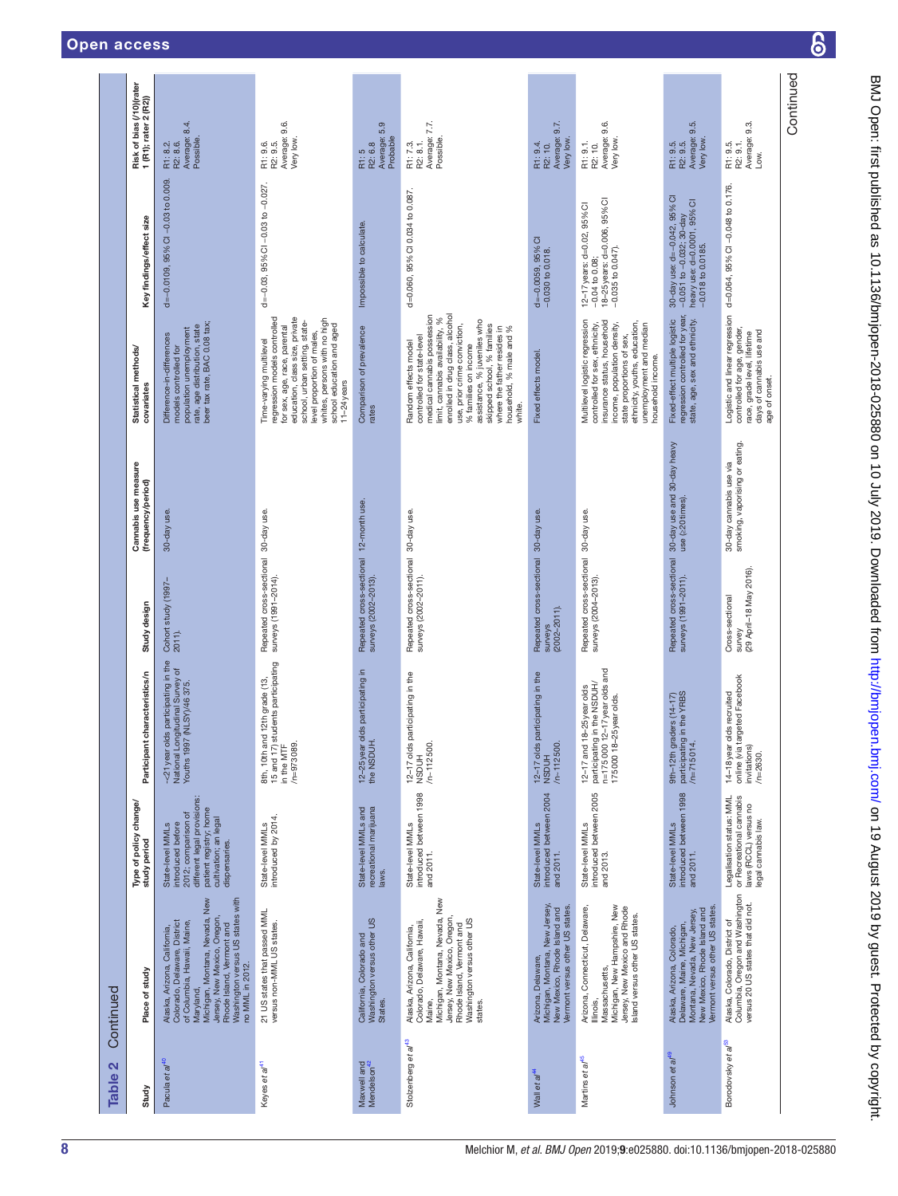|                                   |                                                   |                                                                                                                                                                                                                                                                  |                                                                                                                                                                                                                                                                        |                                                                   |                                                                                                                                                                                                                                                                                                                                                  |                                                                                                                         |                                                                                                                                                                                                                                              |                                                                                                                                                            | Continued                                                                                               |
|-----------------------------------|---------------------------------------------------|------------------------------------------------------------------------------------------------------------------------------------------------------------------------------------------------------------------------------------------------------------------|------------------------------------------------------------------------------------------------------------------------------------------------------------------------------------------------------------------------------------------------------------------------|-------------------------------------------------------------------|--------------------------------------------------------------------------------------------------------------------------------------------------------------------------------------------------------------------------------------------------------------------------------------------------------------------------------------------------|-------------------------------------------------------------------------------------------------------------------------|----------------------------------------------------------------------------------------------------------------------------------------------------------------------------------------------------------------------------------------------|------------------------------------------------------------------------------------------------------------------------------------------------------------|---------------------------------------------------------------------------------------------------------|
|                                   | Risk of bias (/10)(rater<br>1 (R1); rater 2 (R2)) | Average: 8.4.<br>Possible<br>R1: 8.2.<br>R2: 8.6.                                                                                                                                                                                                                | Average: 9.6.<br>Very low.<br>R1:96.<br>R2:95.                                                                                                                                                                                                                         | 5.9<br>Average: 5<br>Probable<br>R1:5<br>R2:68                    | Average: 7.7.<br>Possible.<br>R1:7.3.<br>R2:8.1.                                                                                                                                                                                                                                                                                                 | Average: 9.7<br>Very low.<br>R1: 9.4<br>R2: 10.                                                                         | Average: 9.6.<br>Very low.<br>R1: 9.1.<br>R2: 10.                                                                                                                                                                                            | Average: 9.5.<br>Very low.<br>R1:9.5.<br>R2:9.5.                                                                                                           | Average: 9.3<br>R1:95.<br>R2:91.<br>Low.                                                                |
|                                   | Key findings/effect size                          | d=-0.0109, 95% CI -0.03 to 0.009.                                                                                                                                                                                                                                | d=-0.03, 95% CI -0.03 to -0.027.                                                                                                                                                                                                                                       | Impossible to calculate.                                          | d=0.060, 95% CI 0.034 to 0.087.                                                                                                                                                                                                                                                                                                                  | d=-0.0059, 95% CI<br>$-0.030$ to $0.018$ .                                                                              | 18-25 years: d=0.006, 95% CI<br>12-17 years: d=0.02, 95% CI<br>$-0.035$ to $0.047$ ).<br>$-0.04$ to 0.08;                                                                                                                                    | 30-day use: d=-0.042, 95% Cl<br>-0.051 to -0.032; 30-day<br>heavy use: d=0.0001, 95% CI<br>$-0.018$ to $0.0185$ .                                          | Logistic and linear regression d=0.064, 95% CI-0.048 to 0.176.                                          |
|                                   | Statistical methods<br>covariates                 | beer tax rate, BAC 0.08 tax;<br>rate, age distribution, state<br>population unemployment<br>Difference-in-differences<br>models controlled for                                                                                                                   | education, class size, private<br>regression models controlled<br>whites, persons with no high<br>school, urban setting, state-<br>school education and aged<br>for sex, age, race, parental<br>level proportion of males,<br>Time-varying multilevel<br>$11-24$ years | Comparison of prevalence<br>rates                                 | enrolled in drug class, alcohol<br>medical cannabis possession<br>limit, cannabis availability, %<br>assistance, % juveniles who<br>use, prior crime conviction,<br>skipped school, % families<br>where the father resides in<br>household, % male and %<br>controlled for state-level<br>Random effects model<br>% families on income<br>white. | Fixed effects model.                                                                                                    | Multilevel logistic regression<br>insurance status, household<br>ethnicity, youths, education,<br>income, population density,<br>controlled for sex, ethnicity,<br>unemployment and median<br>state proportions of sex,<br>household income. | regression controlled for year,<br>Fixed-effect multiple logistic<br>state, age, sex and ethnicity.                                                        | controlled for age, gender,<br>race, grade level, lifetime<br>days of cannabis use and<br>age of onset. |
|                                   | Cannabis use measure<br>(frequency/period)        | 30-day use                                                                                                                                                                                                                                                       |                                                                                                                                                                                                                                                                        |                                                                   |                                                                                                                                                                                                                                                                                                                                                  |                                                                                                                         |                                                                                                                                                                                                                                              | Repeated cross-sectional 30-day use and 30-day heavy<br>surveys (1991–2011). use (≥20times).                                                               | 30-day cannabis use via<br>smoking, vaporising or eating.                                               |
|                                   | Study design                                      | Cohort study (1997-<br>$2011$ .                                                                                                                                                                                                                                  | Repeated cross-sectional 30-day use.<br>surveys (1991–2014).                                                                                                                                                                                                           | Repeated cross-sectional 12-month use.<br>surveys (2002–2013).    | Repeated cross-sectional 30-day use.<br>surveys (2002-2011).                                                                                                                                                                                                                                                                                     | Repeated cross-sectional 30-day use.<br>surveys<br>(2002–2011).                                                         | Repeated cross-sectional 30-day use.<br>surveys (2004-2013).                                                                                                                                                                                 |                                                                                                                                                            | (29 April-18 May 2016)<br>Cross-sectional<br>survey                                                     |
|                                   | Participant characteristics/n                     | -<21 year olds participating in the<br>National Longitudinal Survey of<br>Youths 1997 (NLSY)/46 375                                                                                                                                                              | 8th, 10th and 12th grade (13,<br>15 and 17) students participating<br>in the MTF<br>$/n = 973089$                                                                                                                                                                      | olds participating in<br>12-25 year<br>the NSDUH                  | participating in the<br>$12 - 17$ olds<br>$/n - 11250C$<br><b>NSDUH</b>                                                                                                                                                                                                                                                                          | participating in the<br>$12 - 17$ olds<br>NSDUH<br>$/n - 112500$                                                        | 12–17 and 18–25 year olds<br>participating in the NSDUH/<br>n=175 000 12–17 year olds and<br>175000 18-25 year olds                                                                                                                          | 9th–12th graders (14-17)<br>participating in the YRBS<br>/n=715014.                                                                                        | targeted Facebook<br>olds recruited<br>$14-18$ year<br>invitations)<br>online (via<br>$/n = 2630.$      |
|                                   | Type of policy change<br>study period             | different legal provisions:<br>patient registry; home<br>cultivation; an legal<br>2012; comparison of<br>introduced before<br>State-level MMLs<br>dispensaries.                                                                                                  | State-level MMLs<br>introduced by 2014.                                                                                                                                                                                                                                | recreational marijuana<br>State-level MMLs and<br>laws.           | introduced between 1998<br>State-level MMLs<br>and 2011.                                                                                                                                                                                                                                                                                         | State-level MMLs<br>introduced between 2004<br>and 2011.                                                                | State-level MMLs<br>introduced between 2005<br>and 2013.                                                                                                                                                                                     | introduced between 1998<br>State-level MMLs<br>and 2011.                                                                                                   | Legalisation status: MML<br>or Recreational cannabis<br>laws (RCCL) versus no<br>legal cannabis law.    |
| Continued                         | Place of study                                    | Washington versus US states with<br>New<br>Jersey, New Mexico, Oregon,<br>Michigan, Montana, Nevada,<br>Colorado, Delaware, District<br>of Columbia, Hawaii, Maine,<br>Rhode Island, Vermont and<br>Alaska, Arizona, California,<br>no MML in 2012.<br>Maryland, | 21 US states that passed MML<br>versus non-MML US states.                                                                                                                                                                                                              | Washington versus other US<br>California, Colorado and<br>States. | Michigan, Montana, Nevada, New<br>Jersey, New Mexico, Oregon,<br>Washington versus other US<br>Colorado, Delaware, Hawaii,<br>Rhode Island, Vermont and<br>Alaska, Arizona, California,<br>Maine,<br>states.                                                                                                                                     | Michigan, Montana, New Jersey,<br>New Mexico, Rhode Island and<br>Vermont versus other US states.<br>Arizona, Delaware, | Michigan, New Hampshire, New<br>Jersey, New Mexico and Rhode<br>Arizona, Connecticut, Delaware,<br>Island versus other US states.<br>Massachusetts,<br>Illinois,                                                                             | Vermont versus other US states<br>Montana, Nevada, New Jersey,<br>New Mexico, Rhode Island and<br>Delaware, Maine, Michigan,<br>Alaska, Arizona, Colorado, | Columbia, Oregon and Washington<br>versus 20 US states that did not.<br>Alaska, Colorado, District of   |
| $\mathbf{\Omega}$<br><b>Table</b> | Study                                             | Pacula et al <sup>40</sup>                                                                                                                                                                                                                                       | Keyes et al <sup>41</sup>                                                                                                                                                                                                                                              | Maxwell and<br>Mendelson <sup>42</sup>                            | Stolzenberg et al <sup>48</sup>                                                                                                                                                                                                                                                                                                                  | Wall et al <sup>44</sup>                                                                                                | Martins et ar <sup>45</sup>                                                                                                                                                                                                                  | Johnson et al <sup>49</sup>                                                                                                                                | Borodovsky et al <sup>53</sup>                                                                          |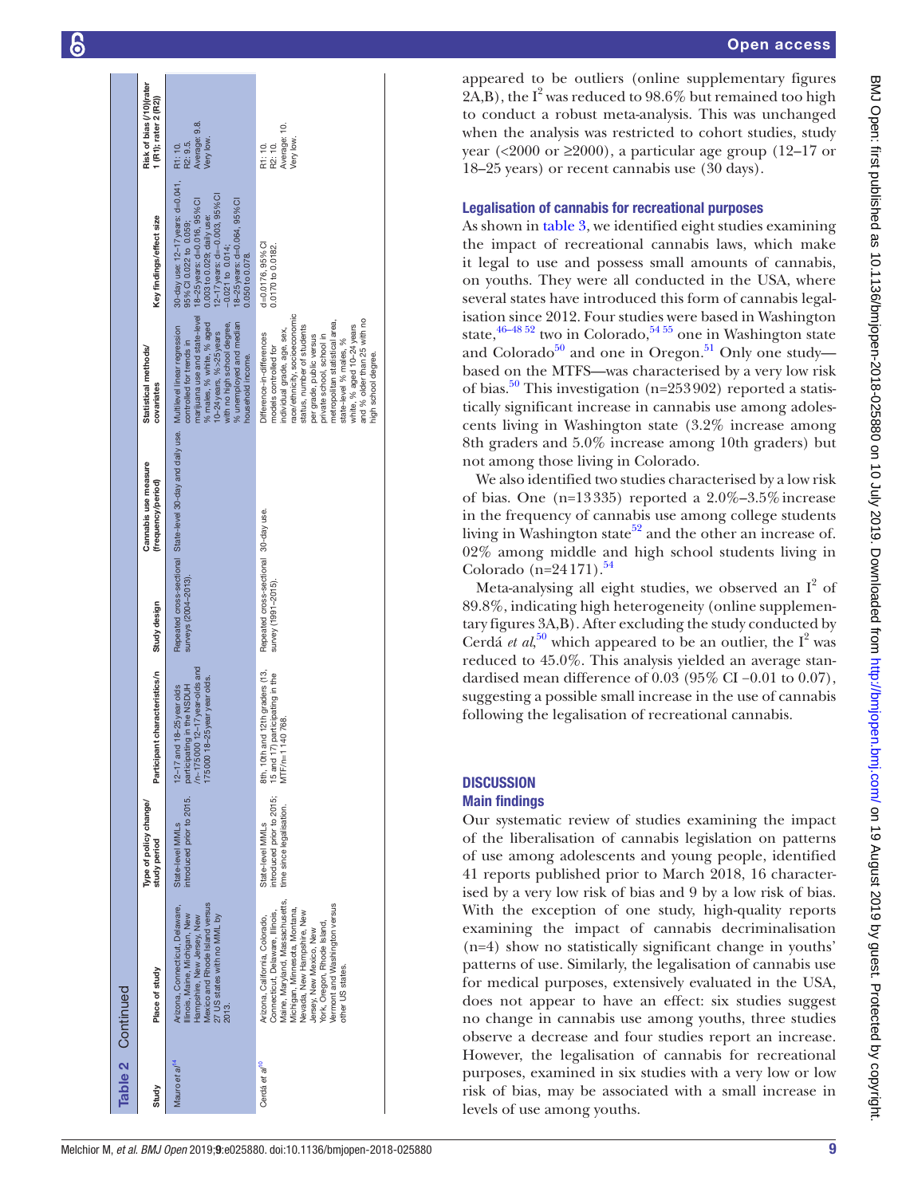|                           | Table 2 Continued                                                                                                                                                                                                                                                                   |                                                                          |                                                                                                                          |                                                             |                                                                                         |                                                                                                                                                                                                                                                                                                                                                         |                                                                                                                                                                                                                                   |                                                    |
|---------------------------|-------------------------------------------------------------------------------------------------------------------------------------------------------------------------------------------------------------------------------------------------------------------------------------|--------------------------------------------------------------------------|--------------------------------------------------------------------------------------------------------------------------|-------------------------------------------------------------|-----------------------------------------------------------------------------------------|---------------------------------------------------------------------------------------------------------------------------------------------------------------------------------------------------------------------------------------------------------------------------------------------------------------------------------------------------------|-----------------------------------------------------------------------------------------------------------------------------------------------------------------------------------------------------------------------------------|----------------------------------------------------|
| Study                     | Place of study                                                                                                                                                                                                                                                                      | Type of policy change/<br>study period                                   | characteristics/n<br>Participant                                                                                         | Study design                                                | Cannabis use measure<br>(frequency/period)                                              | Statistical methods/<br>covariates                                                                                                                                                                                                                                                                                                                      | Key findings/effect size                                                                                                                                                                                                          | Risk of bias (/10) (rater<br>1 (R1); rater 2 (R2)) |
| Mauro et al <sup>14</sup> | Mexico and Rhode Island versus<br>Arizona, Connecticut, Delaware,<br>27 US states with no MML by<br>llinois, Maine, Michigan, New<br>Hampshire, New Jersey, New<br>2013.                                                                                                            | introduced prior to 2015.<br>State-level MMLs                            | participating in the NSDUH<br>/n~175000 12-17 year-olds and<br>175000 18-25 year year olds.<br>12-17 and 18-25 year olds | surveys (2004-2013).                                        | Repeated cross-sectional State-level 30-day and daily use. Multilevel linear regression | marijuana use and state-level<br>% unemployed and median<br>% males, % white, % aged<br>with no high school degree,<br>$0-24$ years, %>25 years<br>controlled for trends in<br>household income.                                                                                                                                                        | 30-day use: 12-17 years: d=0.041,<br>12–17 years: d=-0.003, 95% CI<br>-0.021 to 0.014;<br>18–25 years: d=0.064, 95% CI<br>18-25 years: d=0.016, 95% CI<br>0.003 to 0.029; daily use:<br>95% CI 0.022 to 0.059;<br>0.050 to 0.078. | Average: 9.8.<br>Very low.<br>R2: 9.5.<br>R1:10.   |
| Cerdá et al <sup>10</sup> | Maine, Maryland, Massachusetts,<br>Vermont and Washington versus<br>Michigan, Minnesota, Montana,<br>Connecticut, Delaware, Illinois,<br>Nevada, New Hampshire, New<br>Arizona, California, Colorado,<br>York, Oregon, Rhode Island,<br>Jersey, New Mexico, New<br>other US states. | introduced prior to 2015;<br>ime since legalisation.<br>State-level MMLs | 8th, 10th and 12th graders (13,<br>15 and 17) participating in the<br>MTF/n=1 140 768.                                   | Repeated cross-sectional 30-day use.<br>survey (1991-2015). |                                                                                         | race/ethnicity, socioeconomic<br>and % older than 25 with no<br>metropolitan statistical area,<br>status, number of students<br>white, % aged 10-24 years<br>ndividual grade, age, sex,<br>Oifference-in-differences<br>per grade, public versus<br>private school, school in<br>state-level % males, %<br>models controlled for<br>high school degree. | d=0.0176, 95% CI<br>0.0170 to 0.0182.                                                                                                                                                                                             | Average: 10.<br>Very low.<br>R2: 10.<br>R1:10.     |

appeared to be outliers (online [supplementary figures](https://dx.doi.org/10.1136/bmjopen-2018-025880)   $2A,B$ ), the  $I^2$  was reduced to  $98.6\%$  but remained too high to conduct a robust meta-analysis. This was unchanged when the analysis was restricted to cohort studies, study year (<2000 or ≥2000), a particular age group (12–17 or 18–25 years) or recent cannabis use (30 days).

# Legalisation of cannabis for recreational purposes

As shown in [table](#page-9-0) 3, we identified eight studies examining the impact of recreational cannabis laws, which make it legal to use and possess small amounts of cannabis, on youths. They were all conducted in the USA, where several states have introduced this form of cannabis legal isation since 2012. Four studies were based in Washington state, $46-48\frac{52}{1}$  two in Colorado, $54\frac{55}{1}$  one in Washington state and Colorado $50$  and one in Oregon.<sup>51</sup> Only one study based on the MTFS—was characterised by a very low risk of bias.<sup>50</sup> This investigation (n=253902) reported a statistically significant increase in cannabis use among adoles cents living in Washington state (3.2% increase among 8th graders and 5.0% increase among 10th graders) but not among those living in Colorado.

We also identified two studies characterised by a low risk of bias. One (n=13335) reported a  $2.0\%$ -3.5% increase in the frequency of cannabis use among college students living in Washington state<sup>[52](#page-12-41)</sup> and the other an increase of. 02% among middle and high school students living in Colorado  $(n=24171).$ <sup>54</sup>

Meta-analysing all eight studies, we observed an  $I^2$  of 89.8%, indicating high heterogeneity (online [supplemen](https://dx.doi.org/10.1136/bmjopen-2018-025880) [tary figures 3A,B\)](https://dx.doi.org/10.1136/bmjopen-2018-025880). After excluding the study conducted by Cerdá *et al*,<sup>50</sup> which appeared to be an outlier, the  $I^2$  was reduced to 45.0%. This analysis yielded an average stan dardised mean difference of 0.03 (95% CI −0.01 to 0.07), suggesting a possible small increase in the use of cannabis following the legalisation of recreational cannabis.

# **DISCUSSION**

# Main findings

Our systematic review of studies examining the impact of the liberalisation of cannabis legislation on patterns of use among adolescents and young people, identified 41 reports published prior to March 2018, 16 characterised by a very low risk of bias and 9 by a low risk of bias. With the exception of one study, high-quality reports examining the impact of cannabis decriminalisation (n=4) show no statistically significant change in youths' patterns of use. Similarly, the legalisation of cannabis use for medical purposes, extensively evaluated in the USA, does not appear to have an effect: six studies suggest no change in cannabis use among youths, three studies observe a decrease and four studies report an increase. However, the legalisation of cannabis for recreational purposes, examined in six studies with a very low or low risk of bias, may be associated with a small increase in levels of use among youths.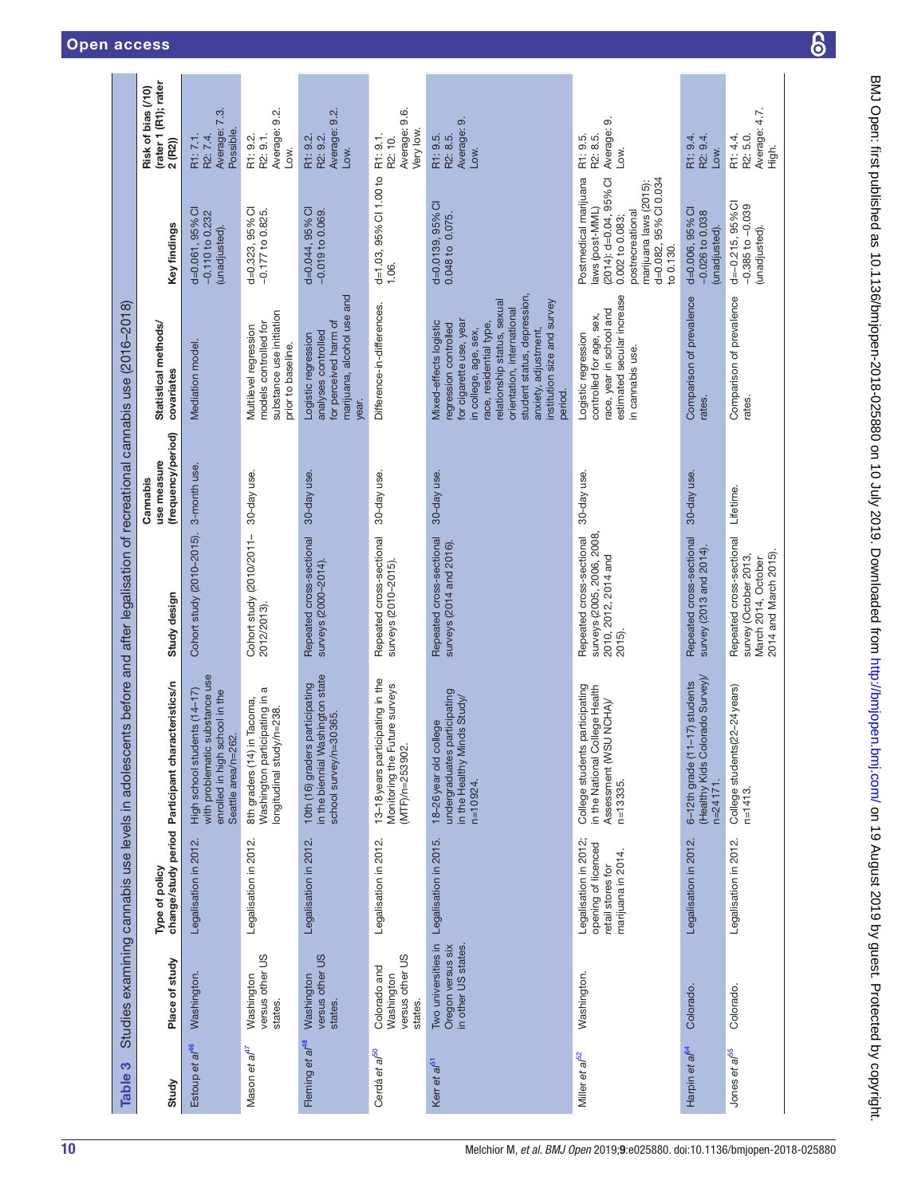<span id="page-9-0"></span>

| Table 3                     |                                                          |                                                                                         | Studies examining cannabis use levels in adolescents before and after legalisation of recreational cannabis use (2016-2018) |                                                                                                   |                                               |                                                                                                                                                                                                                                                                                             |                                                                                                                                                                           |                                                                    |
|-----------------------------|----------------------------------------------------------|-----------------------------------------------------------------------------------------|-----------------------------------------------------------------------------------------------------------------------------|---------------------------------------------------------------------------------------------------|-----------------------------------------------|---------------------------------------------------------------------------------------------------------------------------------------------------------------------------------------------------------------------------------------------------------------------------------------------|---------------------------------------------------------------------------------------------------------------------------------------------------------------------------|--------------------------------------------------------------------|
| Study                       | Place of study                                           | Type of policy                                                                          | change/study period Participant characteristics/n                                                                           | Study design                                                                                      | (frequency/period)<br>use measure<br>Cannabis | Statistical methods/<br>covariates                                                                                                                                                                                                                                                          | Key findings                                                                                                                                                              | (rater 1 (R1); rater<br>2 (R2))<br>Risk of bias (/10)              |
| Estoup et a <sup>/46</sup>  | Washington.                                              | Legalisation in 2012.                                                                   | with problematic substance use<br>High school students (14-17)<br>enrolled in high school in the<br>Seattle area/n=262.     | Cohort study (2010-2015).                                                                         | 3-month use.                                  | Mediation model.                                                                                                                                                                                                                                                                            | d=0.061, 95% CI<br>$-0.110$ to 0.232<br>(unadjusted).                                                                                                                     | Average: 7.3.<br>Possible.<br>R1: 7.1.<br>R2: 7.4.                 |
| Mason et al <sup>47</sup>   | versus other US<br>Washington<br>states.                 | Legalisation in 2012.                                                                   | Washington participating in a<br>longitudinal study/n=238.<br>8th graders (14) in Tacoma,                                   | Cohort study (2010/2011-<br>2012/2013).                                                           | 30-day use.                                   | substance use initiation<br>models controlled for<br>Multilevel regression<br>prior to baseline.                                                                                                                                                                                            | d=0.323, 95% CI<br>$-0.177$ to $0.825$ .                                                                                                                                  | Average: 9.2.<br>R1: 9.2<br>R2: 9.1.<br>Low.                       |
| Fleming et al <sup>48</sup> | versus other US<br>Washington<br>states.                 | Legalisation in 2012.                                                                   | in the biennial Washington state<br>participating<br>school survey/n=30365.<br>10th (16) graders                            | Repeated cross-sectional<br>surveys (2000-2014).                                                  | 30-day use.                                   | marijuana, alcohol use and<br>for perceived harm of<br>analyses controlled<br>Logistic regression<br>year.                                                                                                                                                                                  | d=0.044, 95% CI<br>$-0.019$ to $0.069$ .                                                                                                                                  | Average: 9.2.<br>R <sub>2</sub> : 9.2.<br>R1: 9.2<br>Low.          |
| Cerdá et al <sup>50</sup>   | versus other US<br>Colorado and<br>Washington<br>states. | Legalisation in 2012.                                                                   | 13-18 years participating in the<br>Monitoring the Future surveys<br>(MTF)/n=253902.                                        | Repeated cross-sectional<br>surveys (2010-2015).                                                  | 30-day use.                                   | Difference-in-differences.                                                                                                                                                                                                                                                                  | d=1.03, 95% Cl 1.00 to<br>1.06.                                                                                                                                           | $9.\overline{6}$ .<br>Average:<br>Very low.<br>R1: 9.1.<br>R2: 10. |
| Kerr et al <sup>51</sup>    | Oregon versus six<br>in other US states.                 | Two universities in Legalisation in 2015.                                               | undergraduates participating<br>in the Healthy Minds Study/<br>18-26year old college<br>$n = 10924$ .                       | Repeated cross-sectional<br>surveys (2014 and 2016).                                              | 30-day use.                                   | student status, depression,<br>relationship status, sexual<br>institution size and survey<br>orientation, internationa<br>Mixed-effects logistic<br>for cigarette use, year<br>race, residential type,<br>regression controlled<br>anxiety, adjustment,<br>in college, age, sex,<br>period. | d=0.0139, 95% Cl<br>0.048 to 0.075.                                                                                                                                       | Average: 9.<br>R2: 8.5.<br>R1: 9.5.<br>Low.                        |
| Miller et al <sup>52</sup>  | Washington.                                              | Legalisation in 2012;<br>opening of licenced<br>marijuana in 2014.<br>retail stores for | College students participating<br>in the National College Health<br>Assessment (WSU NCHA)/<br>$n = 13335$ .                 | surveys (2005, 2006, 2008,<br>Repeated cross-sectional<br>2010, 2012, 2014 and<br>2015).          | 30-day use.                                   | estimated secular increase<br>race, year in school and<br>controlled for age, sex,<br>Logistic regression<br>in cannabis use.                                                                                                                                                               | Postmedical marijuana<br>(2014): d=0.04, 95% CI<br>d=0.082, 95% CI 0.034<br>marijuana laws (2015):<br>laws (post-MML)<br>postrecreational<br>0.002 to 0.083;<br>to 0.130. | တ<br>Average:<br>R1: 9.5<br>R2: 8.5.<br>Low.                       |
| Harpin et al <sup>64</sup>  | Colorado                                                 | Legalisation in 2012.                                                                   | (Healthy Kids Colorado Survey)/<br>6-12th grade (11-17) students<br>$n=24171$ .                                             | Repeated cross-sectional<br>survey (2013 and 2014).                                               | 30-day use.                                   | Comparison of prevalence<br>rates.                                                                                                                                                                                                                                                          | d=0.006, 95% CI<br>$-0.026$ to $0.038$<br>(unadjusted).                                                                                                                   | R1: 9.4.<br>R2: 9.4.<br>Low.                                       |
| Jones et al <sup>55</sup>   | Colorado.                                                | Legalisation in 2012.                                                                   | College students(22-24 years)<br>n=1413.                                                                                    | Repeated cross-sectional<br>2014 and March 2015).<br>survey (October 2013,<br>March 2014, October | Lifetime.                                     | Comparison of prevalence<br>rates.                                                                                                                                                                                                                                                          | d=-0.215, 95% CI<br>$-0.385$ to $-0.039$<br>(unadjusted).                                                                                                                 | Average: 4.7.<br>R1: 4.4.<br>R2: 5.0.<br>High.                     |
|                             |                                                          |                                                                                         |                                                                                                                             |                                                                                                   |                                               |                                                                                                                                                                                                                                                                                             |                                                                                                                                                                           |                                                                    |

6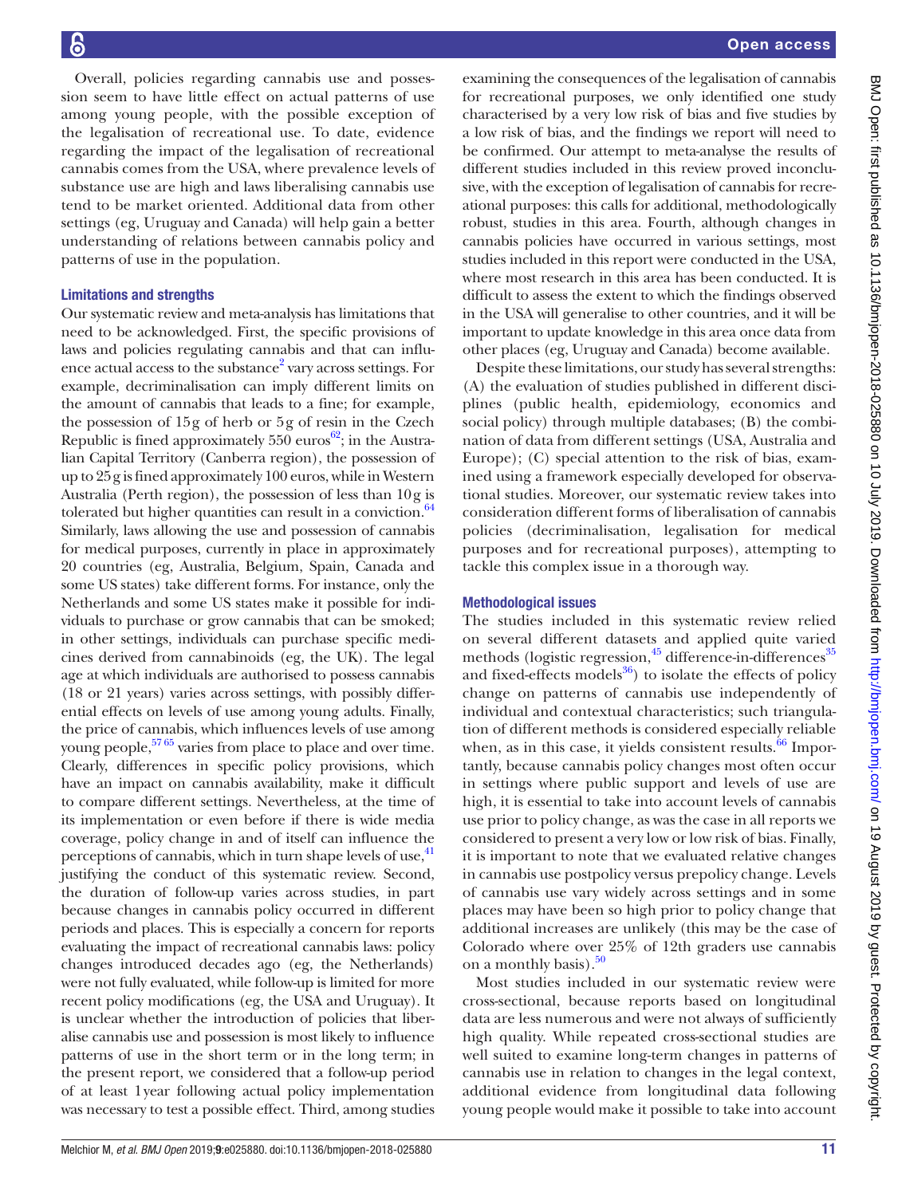Overall, policies regarding cannabis use and possession seem to have little effect on actual patterns of use among young people, with the possible exception of the legalisation of recreational use. To date, evidence regarding the impact of the legalisation of recreational cannabis comes from the USA, where prevalence levels of substance use are high and laws liberalising cannabis use tend to be market oriented. Additional data from other settings (eg, Uruguay and Canada) will help gain a better understanding of relations between cannabis policy and patterns of use in the population.

#### Limitations and strengths

Our systematic review and meta-analysis has limitations that need to be acknowledged. First, the specific provisions of laws and policies regulating cannabis and that can influence actual access to the substance<sup>2</sup> vary across settings. For example, decriminalisation can imply different limits on the amount of cannabis that leads to a fine; for example, the possession of 15g of herb or 5g of resin in the Czech Republic is fined approximately 550 euros $62$ ; in the Australian Capital Territory (Canberra region), the possession of up to 25g is fined approximately 100 euros, while in Western Australia (Perth region), the possession of less than 10g is tolerated but higher quantities can result in a conviction. $64$ Similarly, laws allowing the use and possession of cannabis for medical purposes, currently in place in approximately 20 countries (eg, Australia, Belgium, Spain, Canada and some US states) take different forms. For instance, only the Netherlands and some US states make it possible for individuals to purchase or grow cannabis that can be smoked; in other settings, individuals can purchase specific medicines derived from cannabinoids (eg, the UK). The legal age at which individuals are authorised to possess cannabis (18 or 21 years) varies across settings, with possibly differential effects on levels of use among young adults. Finally, the price of cannabis, which influences levels of use among young people,<sup>57 65</sup> varies from place to place and over time. Clearly, differences in specific policy provisions, which have an impact on cannabis availability, make it difficult to compare different settings. Nevertheless, at the time of its implementation or even before if there is wide media coverage, policy change in and of itself can influence the perceptions of cannabis, which in turn shape levels of use,<sup>[41](#page-12-23)</sup> justifying the conduct of this systematic review. Second, the duration of follow-up varies across studies, in part because changes in cannabis policy occurred in different periods and places. This is especially a concern for reports evaluating the impact of recreational cannabis laws: policy changes introduced decades ago (eg, the Netherlands) were not fully evaluated, while follow-up is limited for more recent policy modifications (eg, the USA and Uruguay). It is unclear whether the introduction of policies that liberalise cannabis use and possession is most likely to influence patterns of use in the short term or in the long term; in the present report, we considered that a follow-up period of at least 1year following actual policy implementation was necessary to test a possible effect. Third, among studies

examining the consequences of the legalisation of cannabis for recreational purposes, we only identified one study characterised by a very low risk of bias and five studies by a low risk of bias, and the findings we report will need to be confirmed. Our attempt to meta-analyse the results of different studies included in this review proved inconclusive, with the exception of legalisation of cannabis for recreational purposes: this calls for additional, methodologically robust, studies in this area. Fourth, although changes in cannabis policies have occurred in various settings, most studies included in this report were conducted in the USA, where most research in this area has been conducted. It is difficult to assess the extent to which the findings observed in the USA will generalise to other countries, and it will be important to update knowledge in this area once data from other places (eg, Uruguay and Canada) become available.

Despite these limitations, our study has several strengths: (A) the evaluation of studies published in different disciplines (public health, epidemiology, economics and social policy) through multiple databases; (B) the combination of data from different settings (USA, Australia and Europe); (C) special attention to the risk of bias, examined using a framework especially developed for observational studies. Moreover, our systematic review takes into consideration different forms of liberalisation of cannabis policies (decriminalisation, legalisation for medical purposes and for recreational purposes), attempting to tackle this complex issue in a thorough way.

#### Methodological issues

The studies included in this systematic review relied on several different datasets and applied quite varied methods (logistic regression,<sup>45</sup> difference-in-differences<sup>[35](#page-12-17)</sup> and fixed-effects models $^{36}$ ) to isolate the effects of policy change on patterns of cannabis use independently of individual and contextual characteristics; such triangulation of different methods is considered especially reliable when, as in this case, it yields consistent results. $66$  Importantly, because cannabis policy changes most often occur in settings where public support and levels of use are high, it is essential to take into account levels of cannabis use prior to policy change, as was the case in all reports we considered to present a very low or low risk of bias. Finally, it is important to note that we evaluated relative changes in cannabis use postpolicy versus prepolicy change. Levels of cannabis use vary widely across settings and in some places may have been so high prior to policy change that additional increases are unlikely (this may be the case of Colorado where over 25% of 12th graders use cannabis on a monthly basis). $50$ 

Most studies included in our systematic review were cross-sectional, because reports based on longitudinal data are less numerous and were not always of sufficiently high quality. While repeated cross-sectional studies are well suited to examine long-term changes in patterns of cannabis use in relation to changes in the legal context, additional evidence from longitudinal data following young people would make it possible to take into account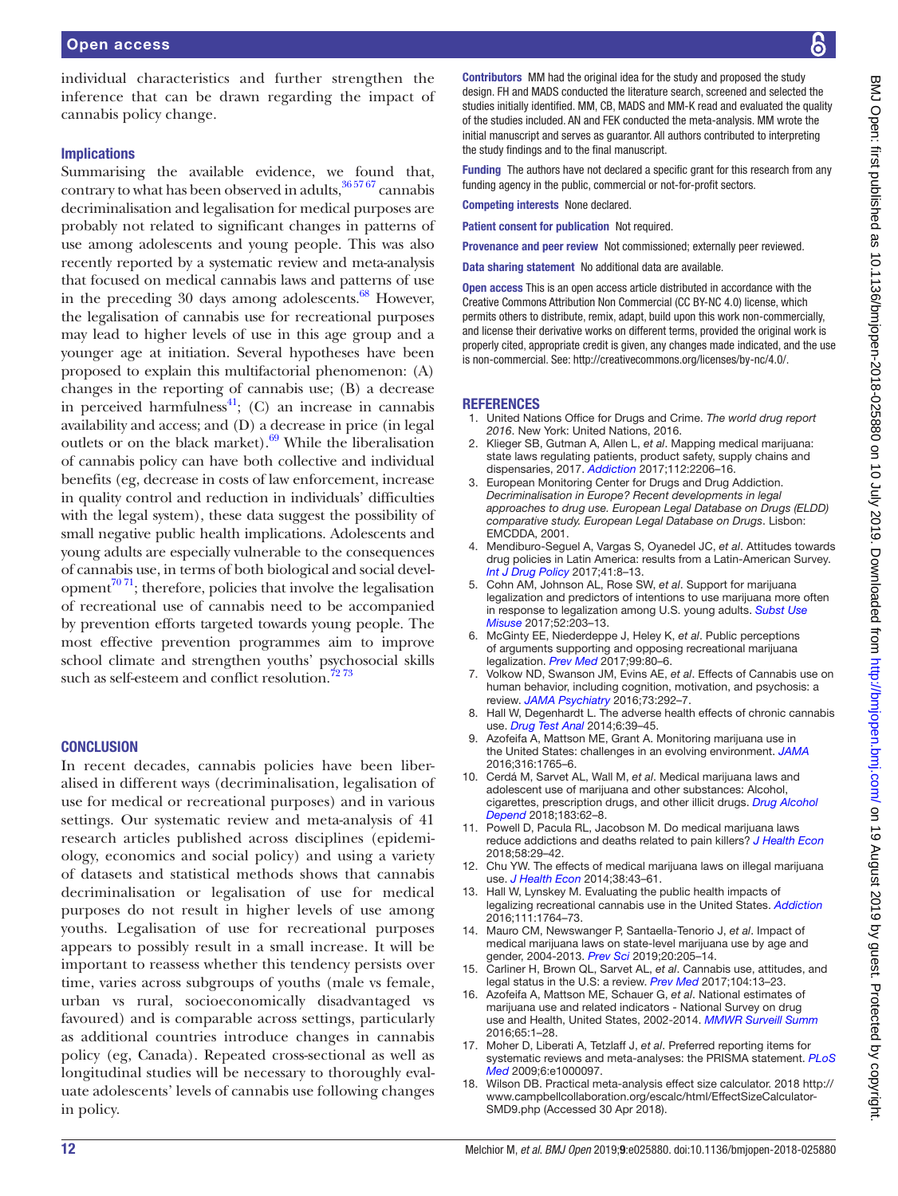individual characteristics and further strengthen the inference that can be drawn regarding the impact of cannabis policy change.

#### Implications

Summarising the available evidence, we found that, contrary to what has been observed in adults, $36\frac{5767}{2}$  cannabis decriminalisation and legalisation for medical purposes are probably not related to significant changes in patterns of use among adolescents and young people. This was also recently reported by a systematic review and meta-analysis that focused on medical cannabis laws and patterns of use in the preceding 30 days among adolescents. $68$  However, the legalisation of cannabis use for recreational purposes may lead to higher levels of use in this age group and a younger age at initiation. Several hypotheses have been proposed to explain this multifactorial phenomenon: (A) changes in the reporting of cannabis use; (B) a decrease in perceived harmfulness $^{41}$  $^{41}$  $^{41}$ ; (C) an increase in cannabis availability and access; and (D) a decrease in price (in legal outlets or on the black market). $69$  While the liberalisation of cannabis policy can have both collective and individual benefits (eg, decrease in costs of law enforcement, increase in quality control and reduction in individuals' difficulties with the legal system), these data suggest the possibility of small negative public health implications. Adolescents and young adults are especially vulnerable to the consequences of cannabis use, in terms of both biological and social devel-opment<sup>[70 71](#page-12-49)</sup>; therefore, policies that involve the legalisation of recreational use of cannabis need to be accompanied by prevention efforts targeted towards young people. The most effective prevention programmes aim to improve school climate and strengthen youths' psychosocial skills such as self-esteem and conflict resolution.<sup>7273</sup>

#### **CONCLUSION**

In recent decades, cannabis policies have been liberalised in different ways (decriminalisation, legalisation of use for medical or recreational purposes) and in various settings. Our systematic review and meta-analysis of 41 research articles published across disciplines (epidemiology, economics and social policy) and using a variety of datasets and statistical methods shows that cannabis decriminalisation or legalisation of use for medical purposes do not result in higher levels of use among youths. Legalisation of use for recreational purposes appears to possibly result in a small increase. It will be important to reassess whether this tendency persists over time, varies across subgroups of youths (male vs female, urban vs rural, socioeconomically disadvantaged vs favoured) and is comparable across settings, particularly as additional countries introduce changes in cannabis policy (eg, Canada). Repeated cross-sectional as well as longitudinal studies will be necessary to thoroughly evaluate adolescents' levels of cannabis use following changes in policy.

Contributors MM had the original idea for the study and proposed the study design. FH and MADS conducted the literature search, screened and selected the studies initially identified. MM, CB, MADS and MM-K read and evaluated the quality of the studies included. AN and FEK conducted the meta-analysis. MM wrote the initial manuscript and serves as guarantor. All authors contributed to interpreting the study findings and to the final manuscript.

Funding The authors have not declared a specific grant for this research from any funding agency in the public, commercial or not-for-profit sectors.

Competing interests None declared.

Patient consent for publication Not required.

Provenance and peer review Not commissioned; externally peer reviewed.

Data sharing statement No additional data are available.

Open access This is an open access article distributed in accordance with the Creative Commons Attribution Non Commercial (CC BY-NC 4.0) license, which permits others to distribute, remix, adapt, build upon this work non-commercially, and license their derivative works on different terms, provided the original work is properly cited, appropriate credit is given, any changes made indicated, and the use is non-commercial. See: [http://creativecommons.org/licenses/by-nc/4.0/.](http://creativecommons.org/licenses/by-nc/4.0/)

#### **REFERENCES**

- <span id="page-11-0"></span>1. United Nations Office for Drugs and Crime. *The world drug report 2016*. New York: United Nations, 2016.
- <span id="page-11-1"></span>2. Klieger SB, Gutman A, Allen L, *et al*. Mapping medical marijuana: state laws regulating patients, product safety, supply chains and dispensaries, 2017. *[Addiction](http://dx.doi.org/10.1111/add.13910)* 2017;112:2206–16.
- <span id="page-11-2"></span>3. European Monitoring Center for Drugs and Drug Addiction. *Decriminalisation in Europe? Recent developments in legal approaches to drug use. European Legal Database on Drugs (ELDD) comparative study. European Legal Database on Drugs*. Lisbon: EMCDDA, 2001.
- <span id="page-11-3"></span>4. Mendiburo-Seguel A, Vargas S, Oyanedel JC, *et al*. Attitudes towards drug policies in Latin America: results from a Latin-American Survey. *[Int J Drug Policy](http://dx.doi.org/10.1016/j.drugpo.2016.10.001)* 2017;41:8–13.
- 5. Cohn AM, Johnson AL, Rose SW, *et al*. Support for marijuana legalization and predictors of intentions to use marijuana more often in response to legalization among U.S. young adults. *[Subst Use](http://dx.doi.org/10.1080/10826084.2016.1223688)  [Misuse](http://dx.doi.org/10.1080/10826084.2016.1223688)* 2017;52:203–13.
- <span id="page-11-4"></span>6. McGinty EE, Niederdeppe J, Heley K, *et al*. Public perceptions of arguments supporting and opposing recreational marijuana legalization. *[Prev Med](http://dx.doi.org/10.1016/j.ypmed.2017.01.024)* 2017;99:80–6.
- <span id="page-11-5"></span>7. Volkow ND, Swanson JM, Evins AE, *et al*. Effects of Cannabis use on human behavior, including cognition, motivation, and psychosis: a review. *[JAMA Psychiatry](http://dx.doi.org/10.1001/jamapsychiatry.2015.3278)* 2016;73:292–7.
- <span id="page-11-6"></span>8. Hall W, Degenhardt L. The adverse health effects of chronic cannabis use. *[Drug Test Anal](http://dx.doi.org/10.1002/dta.1506)* 2014;6:39–45.
- <span id="page-11-7"></span>9. Azofeifa A, Mattson ME, Grant A. Monitoring marijuana use in the United States: challenges in an evolving environment. *[JAMA](http://dx.doi.org/10.1001/jama.2016.13696)* 2016;316:1765–6.
- <span id="page-11-14"></span>10. Cerdá M, Sarvet AL, Wall M, *et al*. Medical marijuana laws and adolescent use of marijuana and other substances: Alcohol, cigarettes, prescription drugs, and other illicit drugs. *[Drug Alcohol](http://dx.doi.org/10.1016/j.drugalcdep.2017.10.021)  [Depend](http://dx.doi.org/10.1016/j.drugalcdep.2017.10.021)* 2018;183:62–8.
- <span id="page-11-8"></span>11. Powell D, Pacula RL, Jacobson M. Do medical marijuana laws reduce addictions and deaths related to pain killers? *[J Health Econ](http://dx.doi.org/10.1016/j.jhealeco.2017.12.007)* 2018;58:29–42.
- <span id="page-11-9"></span>12. Chu YW. The effects of medical marijuana laws on illegal marijuana use. *[J Health Econ](http://dx.doi.org/10.1016/j.jhealeco.2014.07.003)* 2014;38:43–61.
- <span id="page-11-11"></span>Hall W, Lynskey M. Evaluating the public health impacts of legalizing recreational cannabis use in the United States. *[Addiction](http://dx.doi.org/10.1111/add.13428)* 2016;111:1764–73.
- <span id="page-11-15"></span>14. Mauro CM, Newswanger P, Santaella-Tenorio J, *et al*. Impact of medical marijuana laws on state-level marijuana use by age and gender, 2004-2013. *[Prev Sci](http://dx.doi.org/10.1007/s11121-017-0848-3)* 2019;20:205–14.
- 15. Carliner H, Brown QL, Sarvet AL, *et al*. Cannabis use, attitudes, and legal status in the U.S: a review. *[Prev Med](http://dx.doi.org/10.1016/j.ypmed.2017.07.008)* 2017;104:13–23.
- <span id="page-11-10"></span>16. Azofeifa A, Mattson ME, Schauer G, *et al*. National estimates of marijuana use and related indicators - National Survey on drug use and Health, United States, 2002-2014. *[MMWR Surveill Summ](http://dx.doi.org/10.15585/mmwr.ss6511a1)* 2016;65:1–28.
- <span id="page-11-12"></span>17. Moher D, Liberati A, Tetzlaff J, *et al*. Preferred reporting items for systematic reviews and meta-analyses: the PRISMA statement. *[PLoS](http://dx.doi.org/10.1371/journal.pmed.1000097)  [Med](http://dx.doi.org/10.1371/journal.pmed.1000097)* 2009;6:e1000097.
- <span id="page-11-13"></span>18. Wilson DB. Practical meta-analysis effect size calculator. 2018 [http://](http://www.campbellcollaboration.org/escalc/html/EffectSizeCalculator-SMD9.php) [www.campbellcollaboration.org/escalc/html/EffectSizeCalculator-](http://www.campbellcollaboration.org/escalc/html/EffectSizeCalculator-SMD9.php)[SMD9.php](http://www.campbellcollaboration.org/escalc/html/EffectSizeCalculator-SMD9.php) (Accessed 30 Apr 2018).